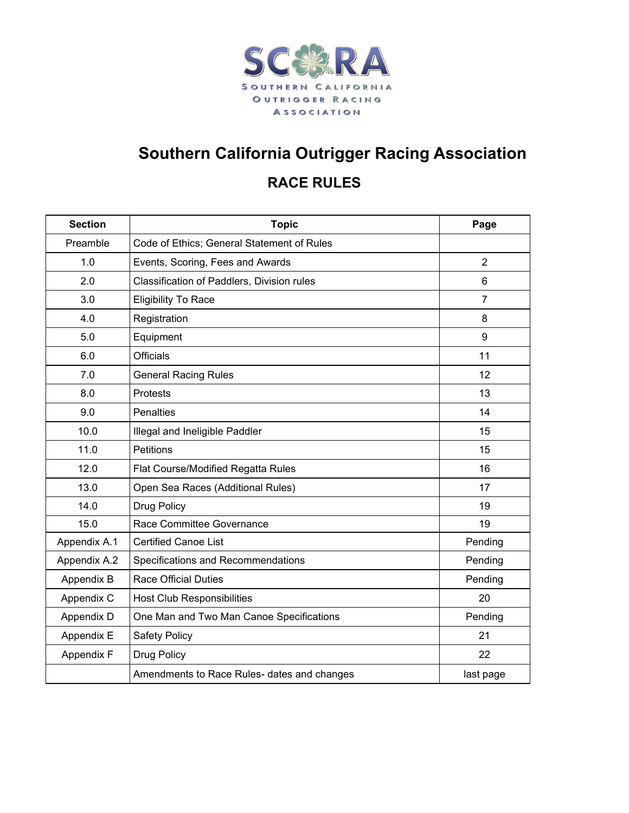

# **Southern California Outrigger Racing Association**

## **RACE RULES**

| <b>Section</b> | <b>Topic</b>                                        | Page           |
|----------------|-----------------------------------------------------|----------------|
| Preamble       | Code of Ethics; General Statement of Rules          |                |
| 1.0            | Events, Scoring, Fees and Awards                    | $\overline{2}$ |
| 2.0            | Classification of Paddlers, Division rules          | 6              |
| 3.0            | <b>Eligibility To Race</b>                          | $\overline{7}$ |
| 4.0            | Registration                                        | 8              |
| 5.0            | Equipment                                           | 9              |
| 6.0            | <b>Officials</b>                                    | 11             |
| 7.0            | <b>General Racing Rules</b>                         | 12             |
| 8.0            | Protests                                            | 13             |
| 9.0            | <b>Penalties</b>                                    | 14             |
| 10.0           | Illegal and Ineligible Paddler                      | 15             |
| 11.0           | <b>Petitions</b>                                    | 15             |
| 12.0           | Flat Course/Modified Regatta Rules                  |                |
| 13.0           | Open Sea Races (Additional Rules)<br>17             |                |
| 14.0           | <b>Drug Policy</b><br>19                            |                |
| 15.0           | Race Committee Governance                           | 19             |
| Appendix A.1   | <b>Certified Canoe List</b>                         | Pending        |
| Appendix A.2   | Specifications and Recommendations                  |                |
| Appendix B     | <b>Race Official Duties</b>                         |                |
| Appendix C     | 20<br><b>Host Club Responsibilities</b>             |                |
| Appendix D     | One Man and Two Man Canoe Specifications<br>Pending |                |
| Appendix E     | Safety Policy                                       | 21             |
| Appendix F     | <b>Drug Policy</b>                                  | 22             |
|                | Amendments to Race Rules- dates and changes         | last page      |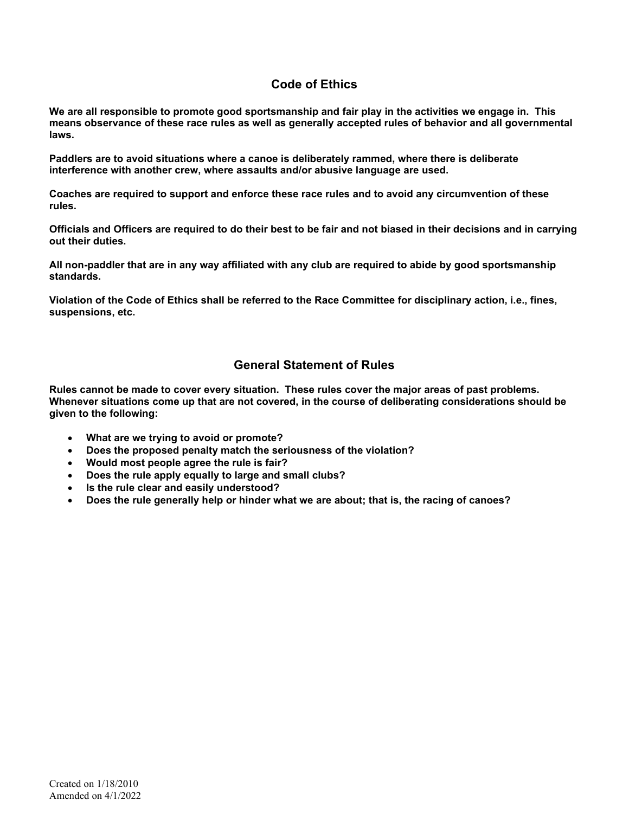#### **Code of Ethics**

**We are all responsible to promote good sportsmanship and fair play in the activities we engage in. This means observance of these race rules as well as generally accepted rules of behavior and all governmental laws.** 

**Paddlers are to avoid situations where a canoe is deliberately rammed, where there is deliberate interference with another crew, where assaults and/or abusive language are used.**

**Coaches are required to support and enforce these race rules and to avoid any circumvention of these rules.**

**Officials and Officers are required to do their best to be fair and not biased in their decisions and in carrying out their duties.**

**All non-paddler that are in any way affiliated with any club are required to abide by good sportsmanship standards.**

**Violation of the Code of Ethics shall be referred to the Race Committee for disciplinary action, i.e., fines, suspensions, etc.**

#### **General Statement of Rules**

**Rules cannot be made to cover every situation. These rules cover the major areas of past problems. Whenever situations come up that are not covered, in the course of deliberating considerations should be given to the following:**

- **What are we trying to avoid or promote?**
- **Does the proposed penalty match the seriousness of the violation?**
- **Would most people agree the rule is fair?**
- **Does the rule apply equally to large and small clubs?**
- **Is the rule clear and easily understood?**
- **Does the rule generally help or hinder what we are about; that is, the racing of canoes?**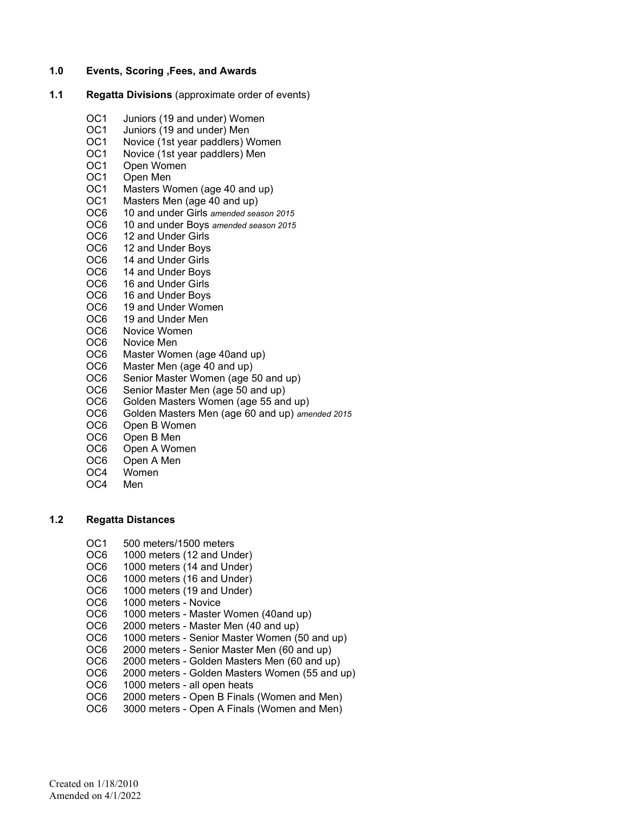#### **1.0 Events, Scoring ,Fees, and Awards**

#### **1.1 Regatta Divisions** (approximate order of events)

- OC1 Juniors (19 and under) Women<br>OC1 Juniors (19 and under) Men
- Juniors (19 and under) Men
- OC1 Novice (1st year paddlers) Women
- OC1 Novice (1st year paddlers) Men
- OC1 Open Women<br>OC1 Open Men
- OC1 Open Men<br>OC1 Masters We
- Masters Women (age 40 and up)
- OC1 Masters Men (age 40 and up)
- OC6 10 and under Girls *amended season 2015*
- OC6 10 and under Boys *amended season 2015*
- OC6 12 and Under Girls<br>OC6 12 and Under Boys
- OC6 12 and Under Boys<br>OC6 14 and Under Girls
- 14 and Under Girls
- OC6 14 and Under Boys
- OC6 16 and Under Girls
- OC6 16 and Under Boys
- OC6 19 and Under Women
- OC6 19 and Under Men
- OC6 Novice Women
- OC6 Novice Men
- OC6 Master Women (age 40and up)<br>OC6 Master Men (age 40 and up)
- OC6 Master Men (age 40 and up)<br>OC6 Senior Master Women (age 5
- Senior Master Women (age 50 and up)
- OC6 Senior Master Men (age 50 and up)<br>OC6 Golden Masters Women (age 55 and
- Golden Masters Women (age 55 and up)
- OC6 Golden Masters Men (age 60 and up) *amended 2015*
- OC6 Open B Women<br>OC6 Open B Men
- Open B Men
- OC6 Open A Women
- OC6 Open A Men<br>OC4 Women
- Women
- OC4 Men

#### **1.2 Regatta Distances**

- OC1 500 meters/1500 meters
- OC6 1000 meters (12 and Under)
- 
- OC6 1000 meters (14 and Under)<br>OC6 1000 meters (16 and Under) 1000 meters (16 and Under)
- OC6 1000 meters (19 and Under)
- OC6 1000 meters Novice
- OC6 1000 meters Master Women (40and up)
- OC6 2000 meters Master Men (40 and up)<br>OC6 1000 meters Senior Master Women (5
- OC6 1000 meters Senior Master Women (50 and up)<br>OC6 2000 meters Senior Master Men (60 and up)
- 2000 meters Senior Master Men (60 and up)
- OC6 2000 meters Golden Masters Men (60 and up)
- OC6 2000 meters Golden Masters Women (55 and up)
- OC6 1000 meters all open heats
- OC6 2000 meters Open B Finals (Women and Men)<br>OC6 3000 meters Open A Finals (Women and Men)
- 3000 meters Open A Finals (Women and Men)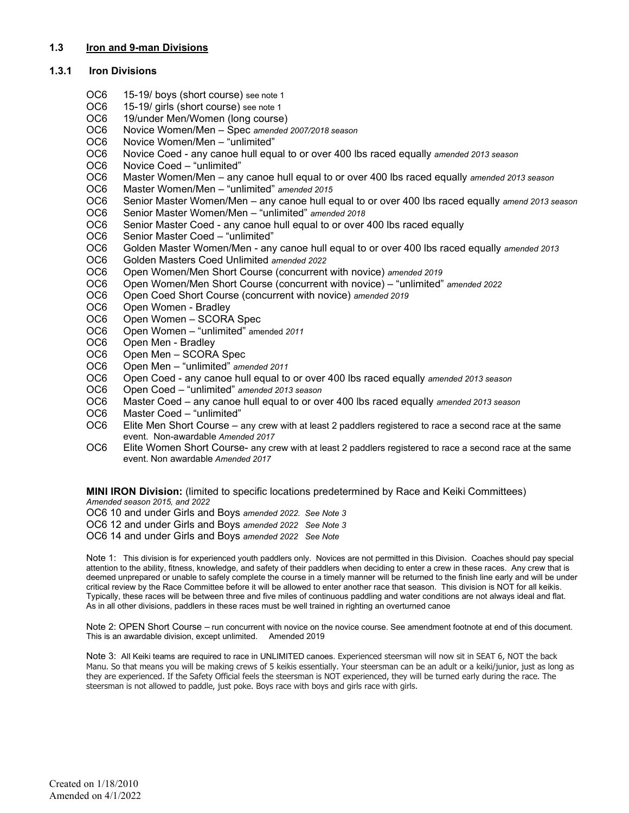#### **1.3 Iron and 9-man Divisions**

#### **1.3.1 Iron Divisions**

- OC6 15-19/ boys (short course) see note 1<br>OC6 15-19/ airls (short course) see note 1
- OC6 15-19/ girls (short course) see note 1<br>OC6 19/under Men/Women (long course
- 19/under Men/Women (long course)
- OC6 Novice Women/Men Spec *amended 2007/2018 season*
- OC6 Novice Women/Men "unlimited"<br>OC6 Novice Coed any canoe hull equ
- OC6 Novice Coed any canoe hull equal to or over 400 lbs raced equally *amended 2013 season*
- OC6 Novice Coed "unlimited"<br>OC6 Master Women/Men any
- Master Women/Men any canoe hull equal to or over 400 lbs raced equally *amended 2013 season*
- OC6 Master Women/Men "unlimited" *amended 2015*
- OC6 Senior Master Women/Men any canoe hull equal to or over 400 lbs raced equally *amend 2013 season*
- OC6 Senior Master Women/Men "unlimited" *amended 2018*
- OC6 Senior Master Coed any canoe hull equal to or over 400 lbs raced equally<br>OC6 Senior Master Coed "unlimited"
- OC6 Senior Master Coed "unlimited"<br>OC6 Golden Master Women/Men any
- OC6 Golden Master Women/Men any canoe hull equal to or over 400 lbs raced equally *amended 2013*
- OC6 Golden Masters Coed Unlimited *amended 2022*
- OC6 Open Women/Men Short Course (concurrent with novice) *amended 2019*
- OC6 Open Women/Men Short Course (concurrent with novice) "unlimited" *amended 2022*
- OC6 Open Coed Short Course (concurrent with novice) *amended 2019*
- OC6 Open Women Bradley
- OC6 Open Women SCORA Spec
- OC6 Open Women "unlimited" amended *2011*
- OC6 Open Men Bradley
- OC6 Open Men SCORA Spec<br>OC6 Open Men "unlimited" ame
- OC6 Open Men "unlimited" *amended 2011*
- Open Coed any canoe hull equal to or over 400 lbs raced equally *amended 2013 season*
- OC6 Open Coed "unlimited" *amended 2013 season*
- Master Coed any canoe hull equal to or over 400 lbs raced equally *amended 2013* season
- OC6 Master Coed "unlimited"
- OC6 Elite Men Short Course any crew with at least 2 paddlers registered to race a second race at the same event. Non-awardable *Amended 2017*
- OC6 Elite Women Short Course- any crew with at least 2 paddlers registered to race a second race at the same event. Non awardable *Amended 2017*

**MINI IRON Division:** (limited to specific locations predetermined by Race and Keiki Committees) *Amended season 2015, and 2022*

- OC6 10 and under Girls and Boys *amended 2022. See Note 3*
- OC6 12 and under Girls and Boys *amended 2022 See Note 3*
- OC6 14 and under Girls and Boys *amended 2022 See Note*

Note 1: This division is for experienced youth paddlers only. Novices are not permitted in this Division. Coaches should pay special attention to the ability, fitness, knowledge, and safety of their paddlers when deciding to enter a crew in these races. Any crew that is deemed unprepared or unable to safely complete the course in a timely manner will be returned to the finish line early and will be under critical review by the Race Committee before it will be allowed to enter another race that season. This division is NOT for all keikis. Typically, these races will be between three and five miles of continuous paddling and water conditions are not always ideal and flat. As in all other divisions, paddlers in these races must be well trained in righting an overturned canoe

Note 2: OPEN Short Course – run concurrent with novice on the novice course. See amendment footnote at end of this document. This is an awardable division, except unlimited. Amended 2019

Note 3: All Keiki teams are required to race in UNLIMITED canoes. Experienced steersman will now sit in SEAT 6, NOT the back Manu. So that means you will be making crews of 5 keikis essentially. Your steersman can be an adult or a keiki/junior, just as long as they are experienced. If the Safety Official feels the steersman is NOT experienced, they will be turned early during the race. The steersman is not allowed to paddle, just poke. Boys race with boys and girls race with girls.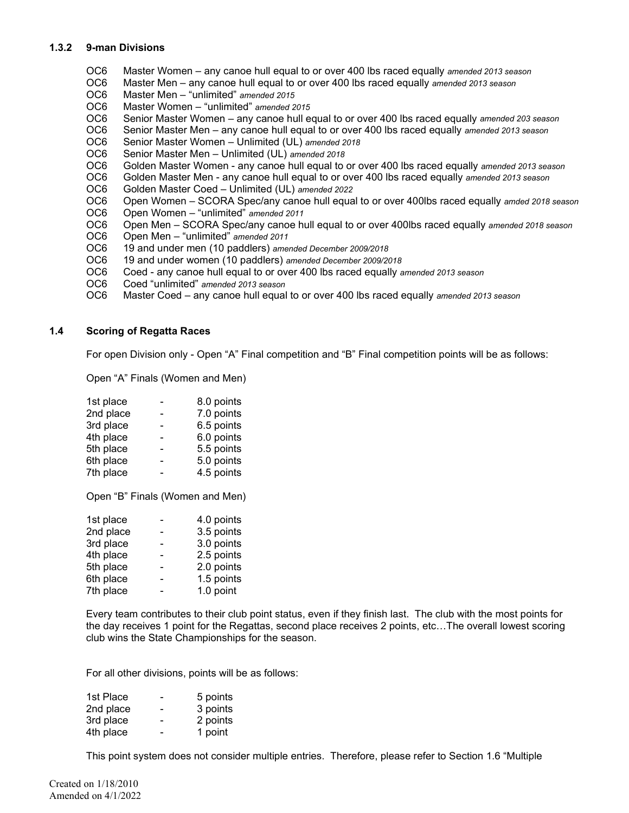#### **1.3.2 9-man Divisions**

- OC6 Master Women any canoe hull equal to or over 400 lbs raced equally *amended 2013 season*
- OC6 Master Men any canoe hull equal to or over 400 lbs raced equally *amended 2013 season*
- OC6 Master Men "unlimited" *amended 2015*
- OC6 Master Women "unlimited" *amended 2015*
- Senior Master Women any canoe hull equal to or over 400 lbs raced equally *amended 203 season*
- OC6 Senior Master Men any canoe hull equal to or over 400 lbs raced equally *amended 2013 season*
- OC6 Senior Master Women Unlimited (UL) *amended 2018*
- OC6 Senior Master Men Unlimited (UL) *amended 2018*
- OC6 Golden Master Women any canoe hull equal to or over 400 lbs raced equally *amended 2013 season*
- OC6 Golden Master Men any canoe hull equal to or over 400 lbs raced equally *amended 2013 season*
- OC6 Golden Master Coed Unlimited (UL) *amended 2022*
- OC6 Open Women SCORA Spec/any canoe hull equal to or over 400lbs raced equally *amded 2018 season*
- OC6 Open Women "unlimited" *amended 2011*
- OC6 Open Men SCORA Spec/any canoe hull equal to or over 400lbs raced equally *amended 2018 season*
- OC6 Open Men "unlimited" *amended 2011*
- OC6 19 and under men (10 paddlers) *amended December 2009/2018*
- OC6 19 and under women (10 paddlers) *amended December 2009/2018*
- OC6 Coed any canoe hull equal to or over 400 lbs raced equally *amended 2013 season*
- OC6 Coed "unlimited" *amended 2013 season*
- OC6 Master Coed any canoe hull equal to or over 400 lbs raced equally *amended 2013 season*

#### **1.4 Scoring of Regatta Races**

For open Division only - Open "A" Final competition and "B" Final competition points will be as follows:

Open "A" Finals (Women and Men)

| 1st place | 8.0 points |
|-----------|------------|
| 2nd place | 7.0 points |
| 3rd place | 6.5 points |
| 4th place | 6.0 points |
| 5th place | 5.5 points |
| 6th place | 5.0 points |
| 7th place | 4.5 points |

Open "B" Finals (Women and Men)

| 1st place | 4.0 points |
|-----------|------------|
| 2nd place | 3.5 points |
| 3rd place | 3.0 points |
| 4th place | 2.5 points |
| 5th place | 2.0 points |
| 6th place | 1.5 points |
| 7th place | 1.0 point  |
|           |            |

Every team contributes to their club point status, even if they finish last. The club with the most points for the day receives 1 point for the Regattas, second place receives 2 points, etc…The overall lowest scoring club wins the State Championships for the season.

For all other divisions, points will be as follows:

| 1st Place | - | 5 points |
|-----------|---|----------|
| 2nd place | - | 3 points |
| 3rd place | - | 2 points |
| 4th place | - | 1 point  |

This point system does not consider multiple entries. Therefore, please refer to Section 1.6 "Multiple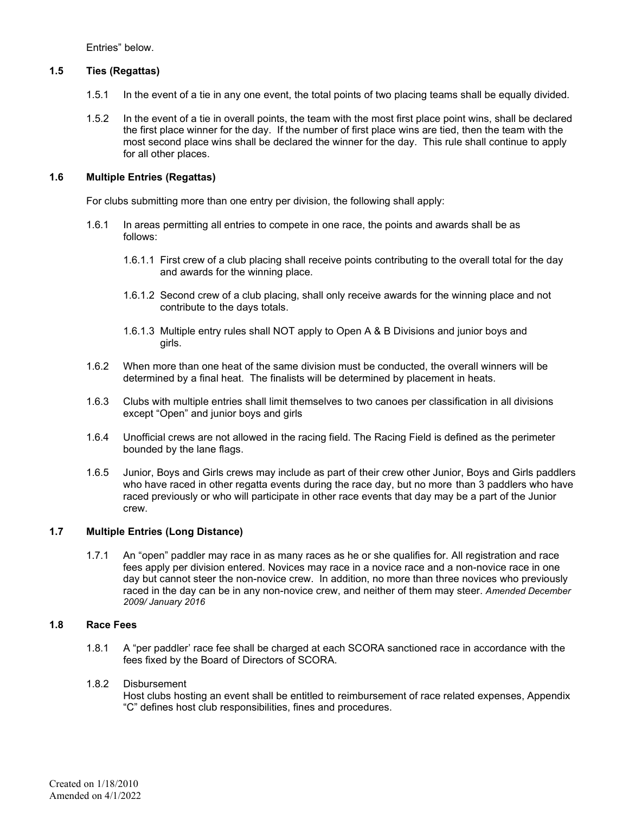Entries" below.

#### **1.5 Ties (Regattas)**

- 1.5.1 In the event of a tie in any one event, the total points of two placing teams shall be equally divided.
- 1.5.2 In the event of a tie in overall points, the team with the most first place point wins, shall be declared the first place winner for the day. If the number of first place wins are tied, then the team with the most second place wins shall be declared the winner for the day. This rule shall continue to apply for all other places.

#### **1.6 Multiple Entries (Regattas)**

For clubs submitting more than one entry per division, the following shall apply:

- 1.6.1 In areas permitting all entries to compete in one race, the points and awards shall be as follows:
	- 1.6.1.1 First crew of a club placing shall receive points contributing to the overall total for the day and awards for the winning place.
	- 1.6.1.2 Second crew of a club placing, shall only receive awards for the winning place and not contribute to the days totals.
	- 1.6.1.3 Multiple entry rules shall NOT apply to Open A & B Divisions and junior boys and girls.
- 1.6.2 When more than one heat of the same division must be conducted, the overall winners will be determined by a final heat. The finalists will be determined by placement in heats.
- 1.6.3 Clubs with multiple entries shall limit themselves to two canoes per classification in all divisions except "Open" and junior boys and girls
- 1.6.4 Unofficial crews are not allowed in the racing field. The Racing Field is defined as the perimeter bounded by the lane flags.
- 1.6.5 Junior, Boys and Girls crews may include as part of their crew other Junior, Boys and Girls paddlers who have raced in other regatta events during the race day, but no more than 3 paddlers who have raced previously or who will participate in other race events that day may be a part of the Junior crew.

#### **1.7 Multiple Entries (Long Distance)**

1.7.1 An "open" paddler may race in as many races as he or she qualifies for. All registration and race fees apply per division entered. Novices may race in a novice race and a non-novice race in one day but cannot steer the non-novice crew. In addition, no more than three novices who previously raced in the day can be in any non-novice crew, and neither of them may steer. *Amended December 2009/ January 2016*

#### **1.8 Race Fees**

1.8.1 A "per paddler' race fee shall be charged at each SCORA sanctioned race in accordance with the fees fixed by the Board of Directors of SCORA.

#### 1.8.2 Disbursement

Host clubs hosting an event shall be entitled to reimbursement of race related expenses, Appendix "C" defines host club responsibilities, fines and procedures.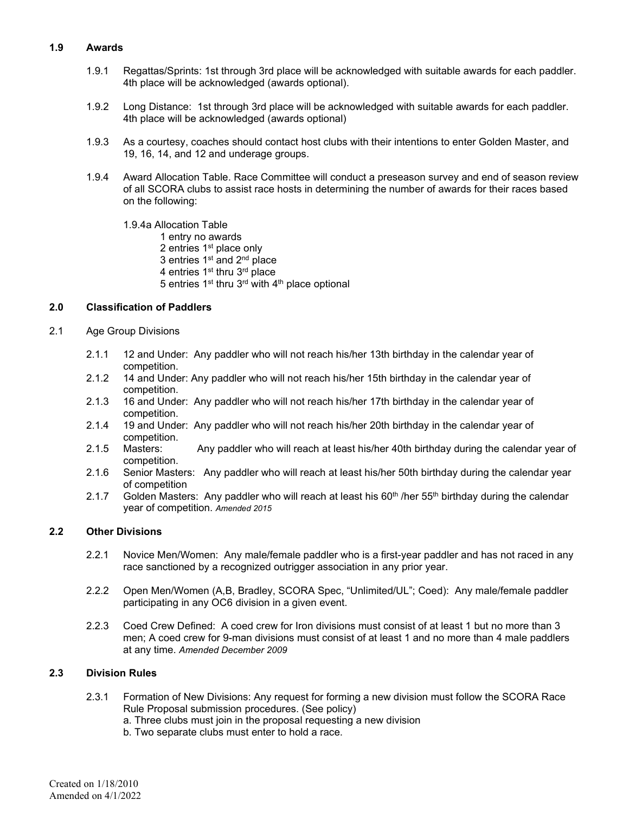#### **1.9 Awards**

- 1.9.1 Regattas/Sprints: 1st through 3rd place will be acknowledged with suitable awards for each paddler. 4th place will be acknowledged (awards optional).
- 1.9.2 Long Distance: 1st through 3rd place will be acknowledged with suitable awards for each paddler. 4th place will be acknowledged (awards optional)
- 1.9.3 As a courtesy, coaches should contact host clubs with their intentions to enter Golden Master, and 19, 16, 14, and 12 and underage groups.
- 1.9.4 Award Allocation Table. Race Committee will conduct a preseason survey and end of season review of all SCORA clubs to assist race hosts in determining the number of awards for their races based on the following:

1.9.4a Allocation Table

- 1 entry no awards
- 2 entries 1<sup>st</sup> place only
- 3 entries 1st and 2nd place
- 4 entries 1st thru 3rd place
- 5 entries  $1^{st}$  thru  $3^{rd}$  with  $4^{th}$  place optional

#### **2.0 Classification of Paddlers**

- 2.1 Age Group Divisions
	- 2.1.1 12 and Under: Any paddler who will not reach his/her 13th birthday in the calendar year of competition.
	- 2.1.2 14 and Under: Any paddler who will not reach his/her 15th birthday in the calendar year of competition.
	- 2.1.3 16 and Under: Any paddler who will not reach his/her 17th birthday in the calendar year of competition.
	- 2.1.4 19 and Under: Any paddler who will not reach his/her 20th birthday in the calendar year of competition.
	- 2.1.5 Masters: Any paddler who will reach at least his/her 40th birthday during the calendar year of competition.
	- 2.1.6 Senior Masters: Any paddler who will reach at least his/her 50th birthday during the calendar year of competition
	- 2.1.7 Golden Masters: Any paddler who will reach at least his 60<sup>th</sup> /her 55<sup>th</sup> birthday during the calendar year of competition. *Amended 2015*

#### **2.2 Other Divisions**

- 2.2.1 Novice Men/Women: Any male/female paddler who is a first-year paddler and has not raced in any race sanctioned by a recognized outrigger association in any prior year.
- 2.2.2 Open Men/Women (A,B, Bradley, SCORA Spec, "Unlimited/UL"; Coed): Any male/female paddler participating in any OC6 division in a given event.
- 2.2.3 Coed Crew Defined: A coed crew for Iron divisions must consist of at least 1 but no more than 3 men; A coed crew for 9-man divisions must consist of at least 1 and no more than 4 male paddlers at any time. *Amended December 2009*

#### **2.3 Division Rules**

- 2.3.1 Formation of New Divisions: Any request for forming a new division must follow the SCORA Race Rule Proposal submission procedures. (See policy)
	- a. Three clubs must join in the proposal requesting a new division
	- b. Two separate clubs must enter to hold a race.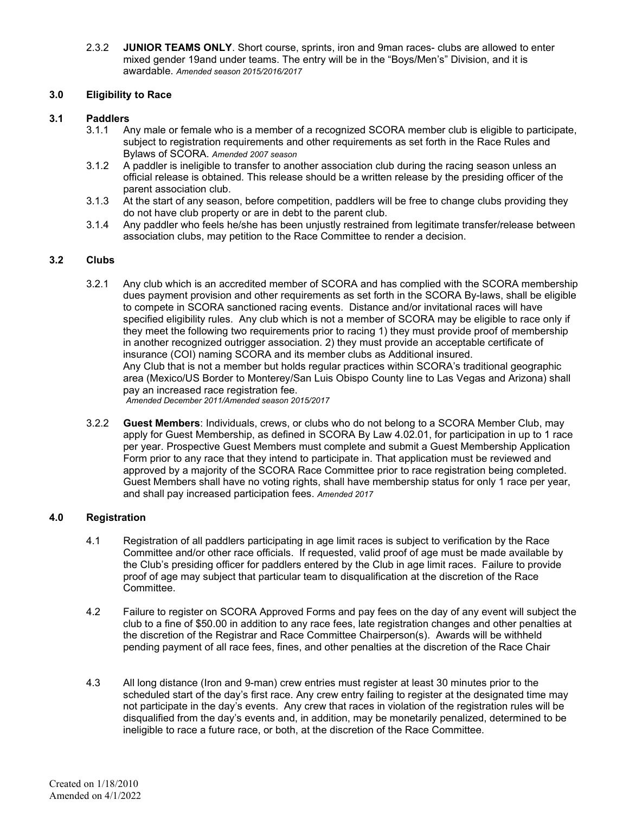2.3.2 **JUNIOR TEAMS ONLY**. Short course, sprints, iron and 9man races- clubs are allowed to enter mixed gender 19and under teams. The entry will be in the "Boys/Men's" Division, and it is awardable. *Amended season 2015/2016/2017*

#### **3.0 Eligibility to Race**

#### **3.1 Paddlers**

- 3.1.1 Any male or female who is a member of a recognized SCORA member club is eligible to participate, subject to registration requirements and other requirements as set forth in the Race Rules and Bylaws of SCORA. *Amended 2007 season*
- 3.1.2 A paddler is ineligible to transfer to another association club during the racing season unless an official release is obtained. This release should be a written release by the presiding officer of the parent association club.
- 3.1.3 At the start of any season, before competition, paddlers will be free to change clubs providing they do not have club property or are in debt to the parent club.
- 3.1.4 Any paddler who feels he/she has been unjustly restrained from legitimate transfer/release between association clubs, may petition to the Race Committee to render a decision.

#### **3.2 Clubs**

- 3.2.1 Any club which is an accredited member of SCORA and has complied with the SCORA membership dues payment provision and other requirements as set forth in the SCORA By-laws, shall be eligible to compete in SCORA sanctioned racing events. Distance and/or invitational races will have specified eligibility rules. Any club which is not a member of SCORA may be eligible to race only if they meet the following two requirements prior to racing 1) they must provide proof of membership in another recognized outrigger association. 2) they must provide an acceptable certificate of insurance (COI) naming SCORA and its member clubs as Additional insured. Any Club that is not a member but holds regular practices within SCORA's traditional geographic area (Mexico/US Border to Monterey/San Luis Obispo County line to Las Vegas and Arizona) shall pay an increased race registration fee. *Amended December 2011/Amended season 2015/2017*
- 3.2.2 **Guest Members**: Individuals, crews, or clubs who do not belong to a SCORA Member Club, may apply for Guest Membership, as defined in SCORA By Law 4.02.01, for participation in up to 1 race per year. Prospective Guest Members must complete and submit a Guest Membership Application Form prior to any race that they intend to participate in. That application must be reviewed and approved by a majority of the SCORA Race Committee prior to race registration being completed. Guest Members shall have no voting rights, shall have membership status for only 1 race per year, and shall pay increased participation fees. *Amended 2017*

#### **4.0 Registration**

- 4.1 Registration of all paddlers participating in age limit races is subject to verification by the Race Committee and/or other race officials. If requested, valid proof of age must be made available by the Club's presiding officer for paddlers entered by the Club in age limit races. Failure to provide proof of age may subject that particular team to disqualification at the discretion of the Race Committee.
- 4.2 Failure to register on SCORA Approved Forms and pay fees on the day of any event will subject the club to a fine of \$50.00 in addition to any race fees, late registration changes and other penalties at the discretion of the Registrar and Race Committee Chairperson(s). Awards will be withheld pending payment of all race fees, fines, and other penalties at the discretion of the Race Chair
- 4.3 All long distance (Iron and 9-man) crew entries must register at least 30 minutes prior to the scheduled start of the day's first race. Any crew entry failing to register at the designated time may not participate in the day's events. Any crew that races in violation of the registration rules will be disqualified from the day's events and, in addition, may be monetarily penalized, determined to be ineligible to race a future race, or both, at the discretion of the Race Committee.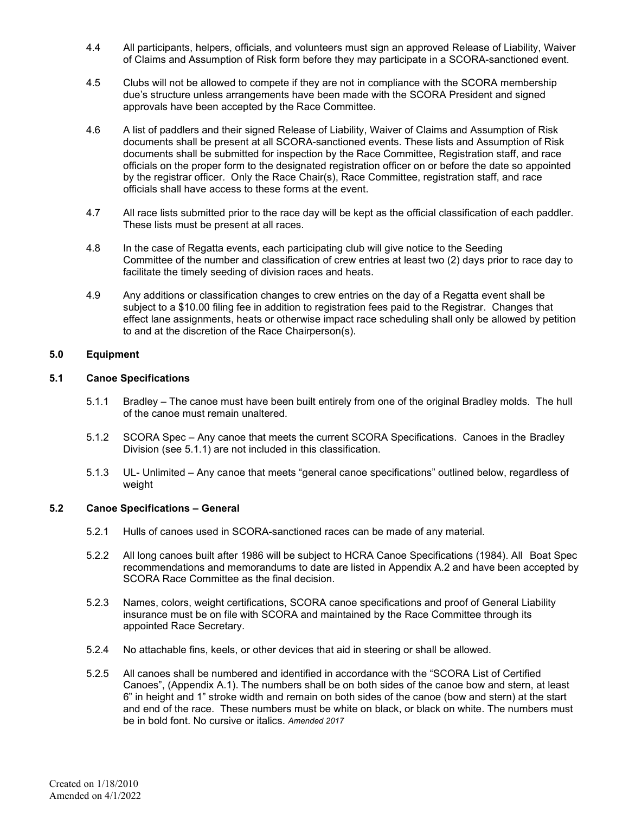- 4.4 All participants, helpers, officials, and volunteers must sign an approved Release of Liability, Waiver of Claims and Assumption of Risk form before they may participate in a SCORA-sanctioned event.
- 4.5 Clubs will not be allowed to compete if they are not in compliance with the SCORA membership due's structure unless arrangements have been made with the SCORA President and signed approvals have been accepted by the Race Committee.
- 4.6 A list of paddlers and their signed Release of Liability, Waiver of Claims and Assumption of Risk documents shall be present at all SCORA-sanctioned events. These lists and Assumption of Risk documents shall be submitted for inspection by the Race Committee, Registration staff, and race officials on the proper form to the designated registration officer on or before the date so appointed by the registrar officer. Only the Race Chair(s), Race Committee, registration staff, and race officials shall have access to these forms at the event.
- 4.7 All race lists submitted prior to the race day will be kept as the official classification of each paddler. These lists must be present at all races.
- 4.8 In the case of Regatta events, each participating club will give notice to the Seeding Committee of the number and classification of crew entries at least two (2) days prior to race day to facilitate the timely seeding of division races and heats.
- 4.9 Any additions or classification changes to crew entries on the day of a Regatta event shall be subject to a \$10.00 filing fee in addition to registration fees paid to the Registrar. Changes that effect lane assignments, heats or otherwise impact race scheduling shall only be allowed by petition to and at the discretion of the Race Chairperson(s).

#### **5.0 Equipment**

#### **5.1 Canoe Specifications**

- 5.1.1 Bradley The canoe must have been built entirely from one of the original Bradley molds. The hull of the canoe must remain unaltered.
- 5.1.2 SCORA Spec Any canoe that meets the current SCORA Specifications. Canoes in the Bradley Division (see 5.1.1) are not included in this classification.
- 5.1.3 UL- Unlimited Any canoe that meets "general canoe specifications" outlined below, regardless of weight

#### **5.2 Canoe Specifications – General**

- 5.2.1 Hulls of canoes used in SCORA-sanctioned races can be made of any material.
- 5.2.2 All long canoes built after 1986 will be subject to HCRA Canoe Specifications (1984). All Boat Spec recommendations and memorandums to date are listed in Appendix A.2 and have been accepted by SCORA Race Committee as the final decision.
- 5.2.3 Names, colors, weight certifications, SCORA canoe specifications and proof of General Liability insurance must be on file with SCORA and maintained by the Race Committee through its appointed Race Secretary.
- 5.2.4 No attachable fins, keels, or other devices that aid in steering or shall be allowed.
- 5.2.5 All canoes shall be numbered and identified in accordance with the "SCORA List of Certified Canoes", (Appendix A.1). The numbers shall be on both sides of the canoe bow and stern, at least 6" in height and 1" stroke width and remain on both sides of the canoe (bow and stern) at the start and end of the race. These numbers must be white on black, or black on white. The numbers must be in bold font. No cursive or italics. *Amended 2017*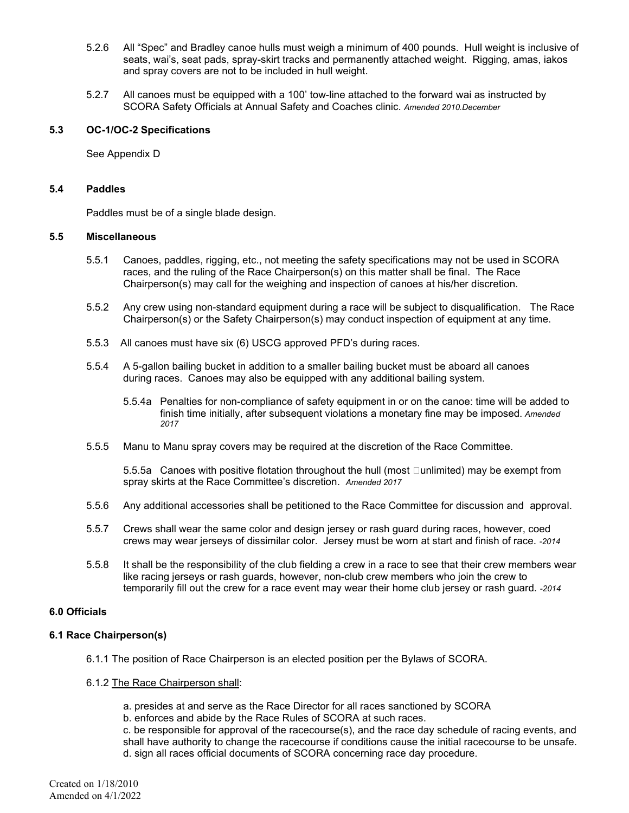- 5.2.6 All "Spec" and Bradley canoe hulls must weigh a minimum of 400 pounds. Hull weight is inclusive of seats, wai's, seat pads, spray-skirt tracks and permanently attached weight. Rigging, amas, iakos and spray covers are not to be included in hull weight.
- 5.2.7 All canoes must be equipped with a 100' tow-line attached to the forward wai as instructed by SCORA Safety Officials at Annual Safety and Coaches clinic. *Amended 2010.December*

#### **5.3 OC-1/OC-2 Specifications**

See Appendix D

#### **5.4 Paddles**

Paddles must be of a single blade design.

#### **5.5 Miscellaneous**

- 5.5.1 Canoes, paddles, rigging, etc., not meeting the safety specifications may not be used in SCORA races, and the ruling of the Race Chairperson(s) on this matter shall be final. The Race Chairperson(s) may call for the weighing and inspection of canoes at his/her discretion.
- 5.5.2 Any crew using non-standard equipment during a race will be subject to disqualification. The Race Chairperson(s) or the Safety Chairperson(s) may conduct inspection of equipment at any time.
- 5.5.3 All canoes must have six (6) USCG approved PFD's during races.
- 5.5.4 A 5-gallon bailing bucket in addition to a smaller bailing bucket must be aboard all canoes during races. Canoes may also be equipped with any additional bailing system.
	- 5.5.4a Penalties for non-compliance of safety equipment in or on the canoe: time will be added to finish time initially, after subsequent violations a monetary fine may be imposed. *Amended 2017*
- 5.5.5 Manu to Manu spray covers may be required at the discretion of the Race Committee.

5.5.5a Canoes with positive flotation throughout the hull (most  $\Box$ unlimited) may be exempt from spray skirts at the Race Committee's discretion. *Amended 2017*

- 5.5.6 Any additional accessories shall be petitioned to the Race Committee for discussion and approval.
- 5.5.7 Crews shall wear the same color and design jersey or rash guard during races, however, coed crews may wear jerseys of dissimilar color. Jersey must be worn at start and finish of race. *-2014*
- 5.5.8 It shall be the responsibility of the club fielding a crew in a race to see that their crew members wear like racing jerseys or rash guards, however, non-club crew members who join the crew to temporarily fill out the crew for a race event may wear their home club jersey or rash guard. *-2014*

#### **6.0 Officials**

#### **6.1 Race Chairperson(s)**

6.1.1 The position of Race Chairperson is an elected position per the Bylaws of SCORA.

#### 6.1.2 The Race Chairperson shall:

- a. presides at and serve as the Race Director for all races sanctioned by SCORA
- b. enforces and abide by the Race Rules of SCORA at such races.
- c. be responsible for approval of the racecourse(s), and the race day schedule of racing events, and shall have authority to change the racecourse if conditions cause the initial racecourse to be unsafe.
- d. sign all races official documents of SCORA concerning race day procedure.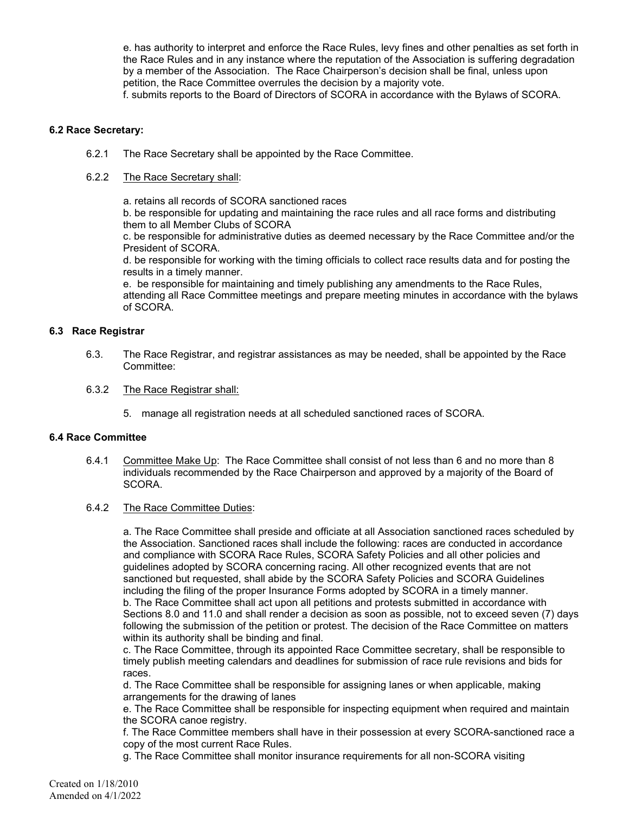e. has authority to interpret and enforce the Race Rules, levy fines and other penalties as set forth in the Race Rules and in any instance where the reputation of the Association is suffering degradation by a member of the Association. The Race Chairperson's decision shall be final, unless upon petition, the Race Committee overrules the decision by a majority vote. f. submits reports to the Board of Directors of SCORA in accordance with the Bylaws of SCORA.

#### **6.2 Race Secretary:**

6.2.1 The Race Secretary shall be appointed by the Race Committee.

#### 6.2.2 The Race Secretary shall:

a. retains all records of SCORA sanctioned races

b. be responsible for updating and maintaining the race rules and all race forms and distributing them to all Member Clubs of SCORA

c. be responsible for administrative duties as deemed necessary by the Race Committee and/or the President of SCORA.

d. be responsible for working with the timing officials to collect race results data and for posting the results in a timely manner.

e. be responsible for maintaining and timely publishing any amendments to the Race Rules, attending all Race Committee meetings and prepare meeting minutes in accordance with the bylaws of SCORA.

#### **6.3 Race Registrar**

- 6.3. The Race Registrar, and registrar assistances as may be needed, shall be appointed by the Race Committee:
- 6.3.2 The Race Registrar shall:
	- 5. manage all registration needs at all scheduled sanctioned races of SCORA.

#### **6.4 Race Committee**

6.4.1 Committee Make Up: The Race Committee shall consist of not less than 6 and no more than 8 individuals recommended by the Race Chairperson and approved by a majority of the Board of SCORA.

#### 6.4.2 The Race Committee Duties:

a. The Race Committee shall preside and officiate at all Association sanctioned races scheduled by the Association. Sanctioned races shall include the following: races are conducted in accordance and compliance with SCORA Race Rules, SCORA Safety Policies and all other policies and guidelines adopted by SCORA concerning racing. All other recognized events that are not sanctioned but requested, shall abide by the SCORA Safety Policies and SCORA Guidelines including the filing of the proper Insurance Forms adopted by SCORA in a timely manner. b. The Race Committee shall act upon all petitions and protests submitted in accordance with Sections 8.0 and 11.0 and shall render a decision as soon as possible, not to exceed seven (7) days following the submission of the petition or protest. The decision of the Race Committee on matters within its authority shall be binding and final.

 c. The Race Committee, through its appointed Race Committee secretary, shall be responsible to timely publish meeting calendars and deadlines for submission of race rule revisions and bids for races.

d. The Race Committee shall be responsible for assigning lanes or when applicable, making arrangements for the drawing of lanes

e. The Race Committee shall be responsible for inspecting equipment when required and maintain the SCORA canoe registry.

f. The Race Committee members shall have in their possession at every SCORA-sanctioned race a copy of the most current Race Rules.

g. The Race Committee shall monitor insurance requirements for all non-SCORA visiting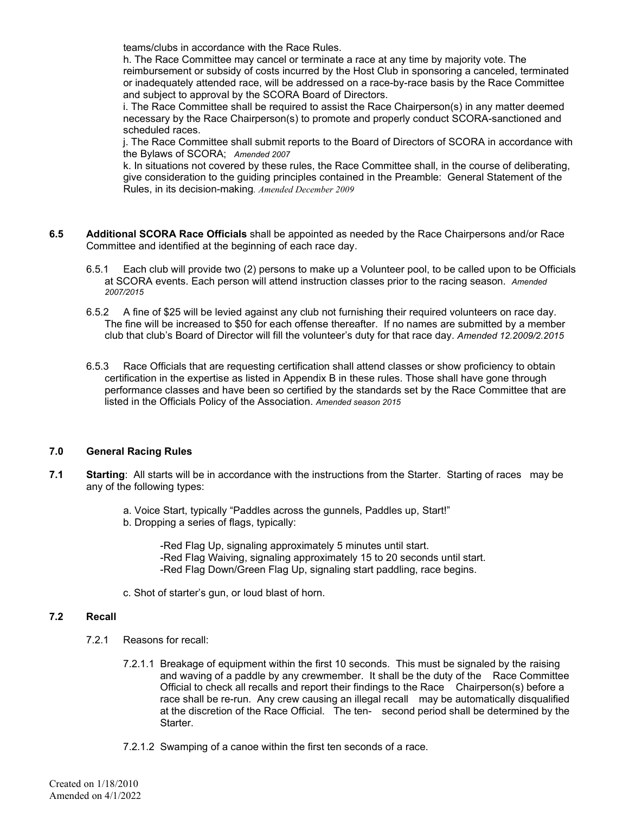teams/clubs in accordance with the Race Rules.

h. The Race Committee may cancel or terminate a race at any time by majority vote. The reimbursement or subsidy of costs incurred by the Host Club in sponsoring a canceled, terminated or inadequately attended race, will be addressed on a race-by-race basis by the Race Committee and subject to approval by the SCORA Board of Directors.

i. The Race Committee shall be required to assist the Race Chairperson(s) in any matter deemed necessary by the Race Chairperson(s) to promote and properly conduct SCORA-sanctioned and scheduled races.

j. The Race Committee shall submit reports to the Board of Directors of SCORA in accordance with the Bylaws of SCORA; *Amended 2007* 

k. In situations not covered by these rules, the Race Committee shall, in the course of deliberating, give consideration to the guiding principles contained in the Preamble: General Statement of the Rules, in its decision-making*. Amended December 2009*

- **6.5 Additional SCORA Race Officials** shall be appointed as needed by the Race Chairpersons and/or Race Committee and identified at the beginning of each race day.
	- 6.5.1 Each club will provide two (2) persons to make up a Volunteer pool, to be called upon to be Officials at SCORA events. Each person will attend instruction classes prior to the racing season. *Amended 2007/2015*
	- 6.5.2 A fine of \$25 will be levied against any club not furnishing their required volunteers on race day. The fine will be increased to \$50 for each offense thereafter. If no names are submitted by a member club that club's Board of Director will fill the volunteer's duty for that race day. *Amended 12.2009/2.2015*
	- 6.5.3 Race Officials that are requesting certification shall attend classes or show proficiency to obtain certification in the expertise as listed in Appendix B in these rules. Those shall have gone through performance classes and have been so certified by the standards set by the Race Committee that are listed in the Officials Policy of the Association. *Amended season 2015*

#### **7.0 General Racing Rules**

- **7.1 Starting**: All starts will be in accordance with the instructions from the Starter. Starting of races may be any of the following types:
	- a. Voice Start, typically "Paddles across the gunnels, Paddles up, Start!"
	- b. Dropping a series of flags, typically:

-Red Flag Up, signaling approximately 5 minutes until start. -Red Flag Waiving, signaling approximately 15 to 20 seconds until start. -Red Flag Down/Green Flag Up, signaling start paddling, race begins.

c. Shot of starter's gun, or loud blast of horn.

#### **7.2 Recall**

- 7.2.1 Reasons for recall:
	- 7.2.1.1 Breakage of equipment within the first 10 seconds. This must be signaled by the raising and waving of a paddle by any crewmember. It shall be the duty of the Race Committee Official to check all recalls and report their findings to the Race Chairperson(s) before a race shall be re-run. Any crew causing an illegal recall may be automatically disqualified at the discretion of the Race Official. The ten- second period shall be determined by the Starter.
	- 7.2.1.2 Swamping of a canoe within the first ten seconds of a race.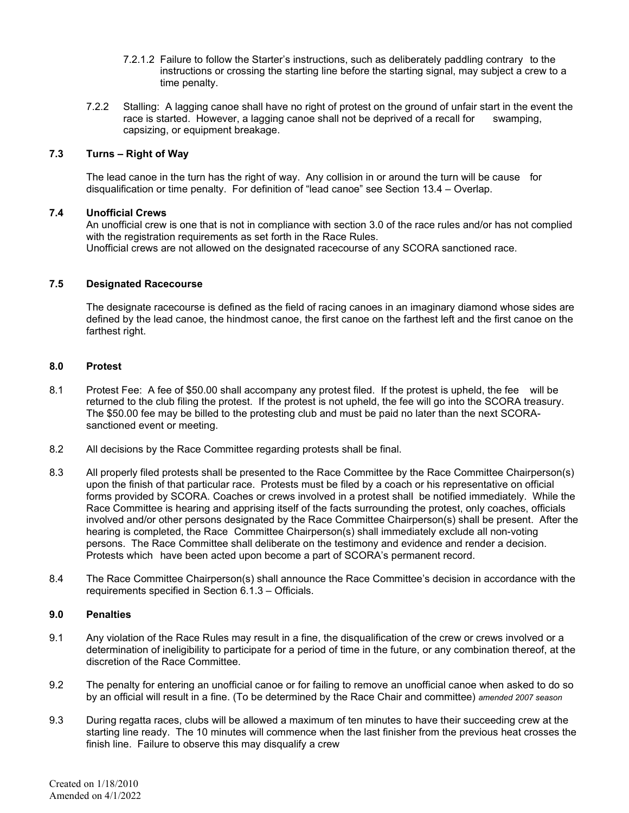- 7.2.1.2 Failure to follow the Starter's instructions, such as deliberately paddling contrary to the instructions or crossing the starting line before the starting signal, may subject a crew to a time penalty.
- 7.2.2 Stalling: A lagging canoe shall have no right of protest on the ground of unfair start in the event the race is started. However, a lagging canoe shall not be deprived of a recall for swamping, capsizing, or equipment breakage.

#### **7.3 Turns – Right of Way**

The lead canoe in the turn has the right of way. Any collision in or around the turn will be cause for disqualification or time penalty. For definition of "lead canoe" see Section 13.4 – Overlap.

#### **7.4 Unofficial Crews**

An unofficial crew is one that is not in compliance with section 3.0 of the race rules and/or has not complied with the registration requirements as set forth in the Race Rules.

Unofficial crews are not allowed on the designated racecourse of any SCORA sanctioned race.

#### **7.5 Designated Racecourse**

The designate racecourse is defined as the field of racing canoes in an imaginary diamond whose sides are defined by the lead canoe, the hindmost canoe, the first canoe on the farthest left and the first canoe on the farthest right.

#### **8.0 Protest**

- 8.1 Protest Fee: A fee of \$50.00 shall accompany any protest filed. If the protest is upheld, the fee will be returned to the club filing the protest. If the protest is not upheld, the fee will go into the SCORA treasury. The \$50.00 fee may be billed to the protesting club and must be paid no later than the next SCORAsanctioned event or meeting.
- 8.2 All decisions by the Race Committee regarding protests shall be final.
- 8.3 All properly filed protests shall be presented to the Race Committee by the Race Committee Chairperson(s) upon the finish of that particular race. Protests must be filed by a coach or his representative on official forms provided by SCORA. Coaches or crews involved in a protest shall be notified immediately. While the Race Committee is hearing and apprising itself of the facts surrounding the protest, only coaches, officials involved and/or other persons designated by the Race Committee Chairperson(s) shall be present. After the hearing is completed, the Race Committee Chairperson(s) shall immediately exclude all non-voting persons. The Race Committee shall deliberate on the testimony and evidence and render a decision. Protests which have been acted upon become a part of SCORA's permanent record.
- 8.4 The Race Committee Chairperson(s) shall announce the Race Committee's decision in accordance with the requirements specified in Section 6.1.3 – Officials.

#### **9.0 Penalties**

- 9.1 Any violation of the Race Rules may result in a fine, the disqualification of the crew or crews involved or a determination of ineligibility to participate for a period of time in the future, or any combination thereof, at the discretion of the Race Committee.
- 9.2 The penalty for entering an unofficial canoe or for failing to remove an unofficial canoe when asked to do so by an official will result in a fine. (To be determined by the Race Chair and committee) *amended 2007 season*
- 9.3 During regatta races, clubs will be allowed a maximum of ten minutes to have their succeeding crew at the starting line ready. The 10 minutes will commence when the last finisher from the previous heat crosses the finish line. Failure to observe this may disqualify a crew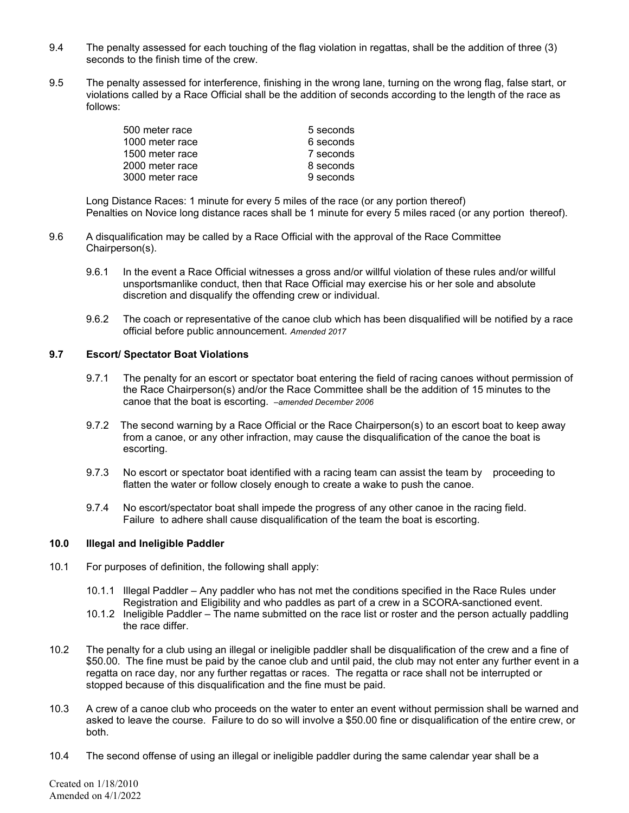- 9.4 The penalty assessed for each touching of the flag violation in regattas, shall be the addition of three (3) seconds to the finish time of the crew.
- 9.5 The penalty assessed for interference, finishing in the wrong lane, turning on the wrong flag, false start, or violations called by a Race Official shall be the addition of seconds according to the length of the race as follows:

| 500 meter race  | 5 seconds |
|-----------------|-----------|
| 1000 meter race | 6 seconds |
| 1500 meter race | 7 seconds |
| 2000 meter race | 8 seconds |
| 3000 meter race | 9 seconds |

Long Distance Races: 1 minute for every 5 miles of the race (or any portion thereof) Penalties on Novice long distance races shall be 1 minute for every 5 miles raced (or any portion thereof).

- 9.6 A disqualification may be called by a Race Official with the approval of the Race Committee Chairperson(s).
	- 9.6.1 In the event a Race Official witnesses a gross and/or willful violation of these rules and/or willful unsportsmanlike conduct, then that Race Official may exercise his or her sole and absolute discretion and disqualify the offending crew or individual.
	- 9.6.2 The coach or representative of the canoe club which has been disqualified will be notified by a race official before public announcement. *Amended 2017*

#### **9.7 Escort/ Spectator Boat Violations**

- 9.7.1 The penalty for an escort or spectator boat entering the field of racing canoes without permission of the Race Chairperson(s) and/or the Race Committee shall be the addition of 15 minutes to the canoe that the boat is escorting. –*amended December 2006*
- 9.7.2 The second warning by a Race Official or the Race Chairperson(s) to an escort boat to keep away from a canoe, or any other infraction, may cause the disqualification of the canoe the boat is escorting.
- 9.7.3 No escort or spectator boat identified with a racing team can assist the team by proceeding to flatten the water or follow closely enough to create a wake to push the canoe.
- 9.7.4 No escort/spectator boat shall impede the progress of any other canoe in the racing field. Failure to adhere shall cause disqualification of the team the boat is escorting.

#### **10.0 Illegal and Ineligible Paddler**

- 10.1 For purposes of definition, the following shall apply:
	- 10.1.1 Illegal Paddler Any paddler who has not met the conditions specified in the Race Rules under Registration and Eligibility and who paddles as part of a crew in a SCORA-sanctioned event.
	- 10.1.2 Ineligible Paddler The name submitted on the race list or roster and the person actually paddling the race differ.
- 10.2 The penalty for a club using an illegal or ineligible paddler shall be disqualification of the crew and a fine of \$50.00. The fine must be paid by the canoe club and until paid, the club may not enter any further event in a regatta on race day, nor any further regattas or races. The regatta or race shall not be interrupted or stopped because of this disqualification and the fine must be paid.
- 10.3 A crew of a canoe club who proceeds on the water to enter an event without permission shall be warned and asked to leave the course. Failure to do so will involve a \$50.00 fine or disqualification of the entire crew, or both.
- 10.4 The second offense of using an illegal or ineligible paddler during the same calendar year shall be a

Created on 1/18/2010 Amended on 4/1/2022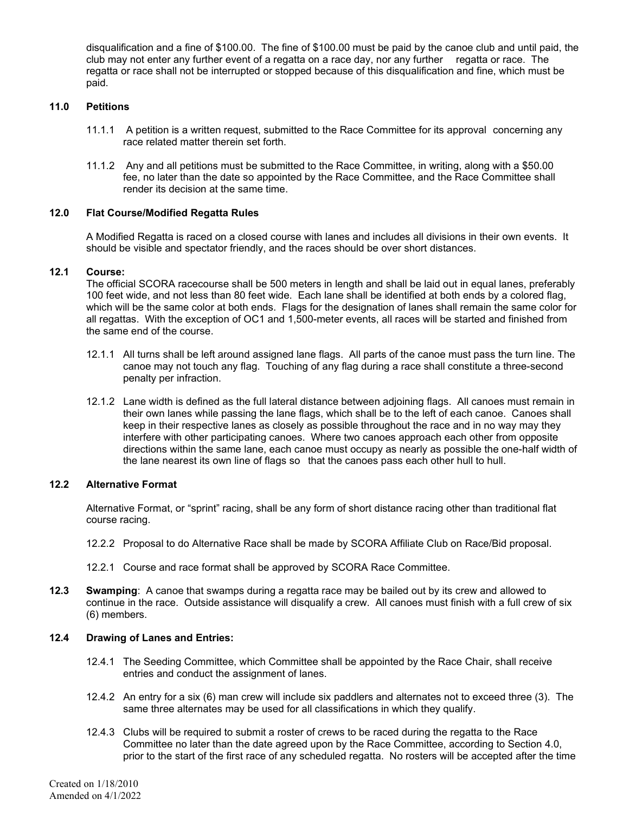disqualification and a fine of \$100.00. The fine of \$100.00 must be paid by the canoe club and until paid, the club may not enter any further event of a regatta on a race day, nor any further regatta or race. The regatta or race shall not be interrupted or stopped because of this disqualification and fine, which must be paid.

#### **11.0 Petitions**

- 11.1.1 A petition is a written request, submitted to the Race Committee for its approval concerning any race related matter therein set forth.
- 11.1.2 Any and all petitions must be submitted to the Race Committee, in writing, along with a \$50.00 fee, no later than the date so appointed by the Race Committee, and the Race Committee shall render its decision at the same time.

#### **12.0 Flat Course/Modified Regatta Rules**

A Modified Regatta is raced on a closed course with lanes and includes all divisions in their own events. It should be visible and spectator friendly, and the races should be over short distances.

#### **12.1 Course:**

The official SCORA racecourse shall be 500 meters in length and shall be laid out in equal lanes, preferably 100 feet wide, and not less than 80 feet wide. Each lane shall be identified at both ends by a colored flag, which will be the same color at both ends. Flags for the designation of lanes shall remain the same color for all regattas. With the exception of OC1 and 1,500-meter events, all races will be started and finished from the same end of the course.

- 12.1.1 All turns shall be left around assigned lane flags. All parts of the canoe must pass the turn line. The canoe may not touch any flag. Touching of any flag during a race shall constitute a three-second penalty per infraction.
- 12.1.2 Lane width is defined as the full lateral distance between adjoining flags. All canoes must remain in their own lanes while passing the lane flags, which shall be to the left of each canoe. Canoes shall keep in their respective lanes as closely as possible throughout the race and in no way may they interfere with other participating canoes. Where two canoes approach each other from opposite directions within the same lane, each canoe must occupy as nearly as possible the one-half width of the lane nearest its own line of flags so that the canoes pass each other hull to hull.

#### **12.2 Alternative Format**

Alternative Format, or "sprint" racing, shall be any form of short distance racing other than traditional flat course racing.

- 12.2.2 Proposal to do Alternative Race shall be made by SCORA Affiliate Club on Race/Bid proposal.
- 12.2.1 Course and race format shall be approved by SCORA Race Committee.
- **12.3 Swamping**: A canoe that swamps during a regatta race may be bailed out by its crew and allowed to continue in the race. Outside assistance will disqualify a crew. All canoes must finish with a full crew of six (6) members.

#### **12.4 Drawing of Lanes and Entries:**

- 12.4.1 The Seeding Committee, which Committee shall be appointed by the Race Chair, shall receive entries and conduct the assignment of lanes.
- 12.4.2 An entry for a six (6) man crew will include six paddlers and alternates not to exceed three (3). The same three alternates may be used for all classifications in which they qualify.
- 12.4.3 Clubs will be required to submit a roster of crews to be raced during the regatta to the Race Committee no later than the date agreed upon by the Race Committee, according to Section 4.0, prior to the start of the first race of any scheduled regatta. No rosters will be accepted after the time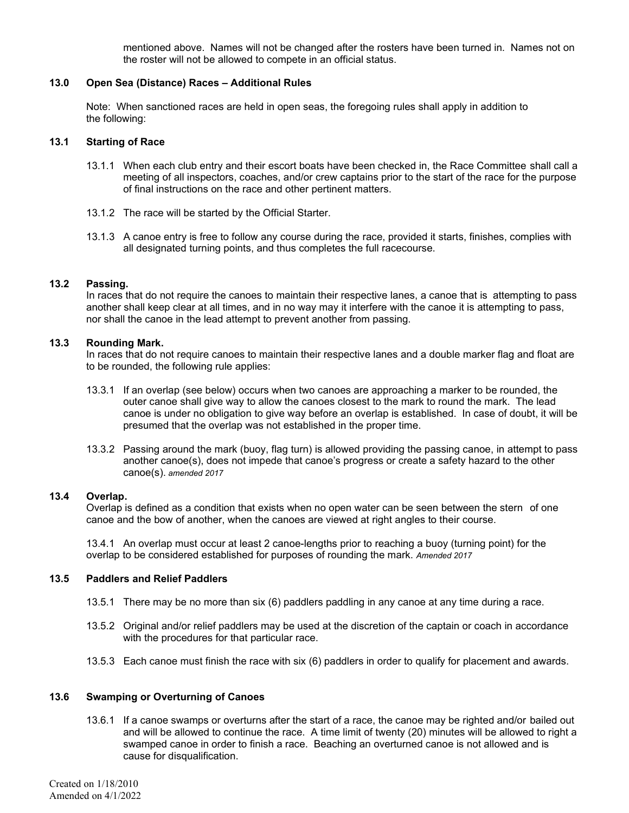mentioned above. Names will not be changed after the rosters have been turned in. Names not on the roster will not be allowed to compete in an official status.

#### **13.0 Open Sea (Distance) Races – Additional Rules**

Note: When sanctioned races are held in open seas, the foregoing rules shall apply in addition to the following:

#### **13.1 Starting of Race**

- 13.1.1 When each club entry and their escort boats have been checked in, the Race Committee shall call a meeting of all inspectors, coaches, and/or crew captains prior to the start of the race for the purpose of final instructions on the race and other pertinent matters.
- 13.1.2 The race will be started by the Official Starter.
- 13.1.3 A canoe entry is free to follow any course during the race, provided it starts, finishes, complies with all designated turning points, and thus completes the full racecourse.

#### **13.2 Passing.**

In races that do not require the canoes to maintain their respective lanes, a canoe that is attempting to pass another shall keep clear at all times, and in no way may it interfere with the canoe it is attempting to pass, nor shall the canoe in the lead attempt to prevent another from passing.

#### **13.3 Rounding Mark.**

In races that do not require canoes to maintain their respective lanes and a double marker flag and float are to be rounded, the following rule applies:

- 13.3.1 If an overlap (see below) occurs when two canoes are approaching a marker to be rounded, the outer canoe shall give way to allow the canoes closest to the mark to round the mark. The lead canoe is under no obligation to give way before an overlap is established. In case of doubt, it will be presumed that the overlap was not established in the proper time.
- 13.3.2 Passing around the mark (buoy, flag turn) is allowed providing the passing canoe, in attempt to pass another canoe(s), does not impede that canoe's progress or create a safety hazard to the other canoe(s). *amended 2017*

#### **13.4 Overlap.**

Overlap is defined as a condition that exists when no open water can be seen between the stern of one canoe and the bow of another, when the canoes are viewed at right angles to their course.

13.4.1 An overlap must occur at least 2 canoe-lengths prior to reaching a buoy (turning point) for the overlap to be considered established for purposes of rounding the mark. *Amended 2017*

#### **13.5 Paddlers and Relief Paddlers**

- 13.5.1 There may be no more than six (6) paddlers paddling in any canoe at any time during a race.
- 13.5.2 Original and/or relief paddlers may be used at the discretion of the captain or coach in accordance with the procedures for that particular race.
- 13.5.3 Each canoe must finish the race with six (6) paddlers in order to qualify for placement and awards.

#### **13.6 Swamping or Overturning of Canoes**

13.6.1 If a canoe swamps or overturns after the start of a race, the canoe may be righted and/or bailed out and will be allowed to continue the race. A time limit of twenty (20) minutes will be allowed to right a swamped canoe in order to finish a race. Beaching an overturned canoe is not allowed and is cause for disqualification.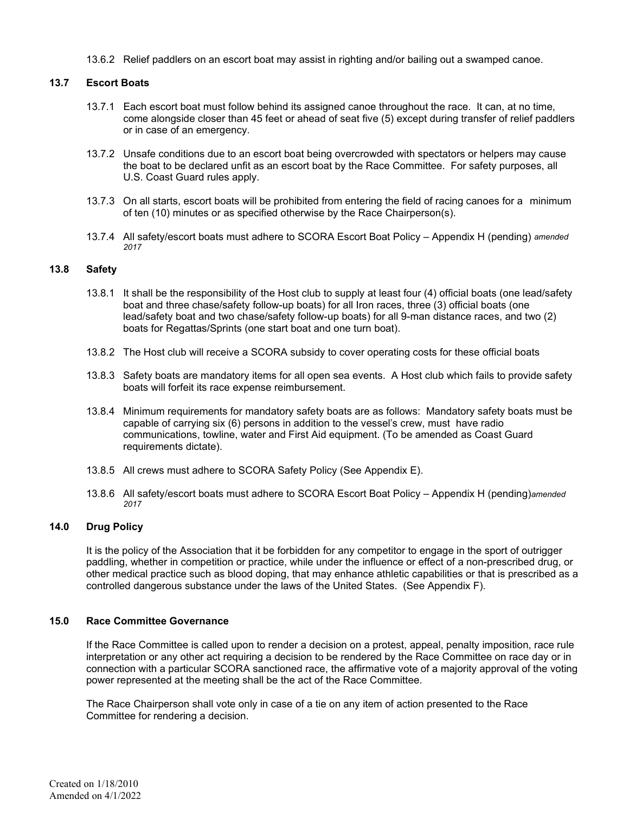13.6.2 Relief paddlers on an escort boat may assist in righting and/or bailing out a swamped canoe.

#### **13.7 Escort Boats**

- 13.7.1 Each escort boat must follow behind its assigned canoe throughout the race. It can, at no time, come alongside closer than 45 feet or ahead of seat five (5) except during transfer of relief paddlers or in case of an emergency.
- 13.7.2 Unsafe conditions due to an escort boat being overcrowded with spectators or helpers may cause the boat to be declared unfit as an escort boat by the Race Committee. For safety purposes, all U.S. Coast Guard rules apply.
- 13.7.3 On all starts, escort boats will be prohibited from entering the field of racing canoes for a minimum of ten (10) minutes or as specified otherwise by the Race Chairperson(s).
- 13.7.4 All safety/escort boats must adhere to SCORA Escort Boat Policy Appendix H (pending) *amended 2017*

#### **13.8 Safety**

- 13.8.1 It shall be the responsibility of the Host club to supply at least four (4) official boats (one lead/safety boat and three chase/safety follow-up boats) for all Iron races, three (3) official boats (one lead/safety boat and two chase/safety follow-up boats) for all 9-man distance races, and two (2) boats for Regattas/Sprints (one start boat and one turn boat).
- 13.8.2 The Host club will receive a SCORA subsidy to cover operating costs for these official boats
- 13.8.3 Safety boats are mandatory items for all open sea events. A Host club which fails to provide safety boats will forfeit its race expense reimbursement.
- 13.8.4 Minimum requirements for mandatory safety boats are as follows: Mandatory safety boats must be capable of carrying six (6) persons in addition to the vessel's crew, must have radio communications, towline, water and First Aid equipment. (To be amended as Coast Guard requirements dictate).
- 13.8.5 All crews must adhere to SCORA Safety Policy (See Appendix E).
- 13.8.6 All safety/escort boats must adhere to SCORA Escort Boat Policy Appendix H (pending)*amended 2017*

#### **14.0 Drug Policy**

It is the policy of the Association that it be forbidden for any competitor to engage in the sport of outrigger paddling, whether in competition or practice, while under the influence or effect of a non-prescribed drug, or other medical practice such as blood doping, that may enhance athletic capabilities or that is prescribed as a controlled dangerous substance under the laws of the United States. (See Appendix F).

#### **15.0 Race Committee Governance**

If the Race Committee is called upon to render a decision on a protest, appeal, penalty imposition, race rule interpretation or any other act requiring a decision to be rendered by the Race Committee on race day or in connection with a particular SCORA sanctioned race, the affirmative vote of a majority approval of the voting power represented at the meeting shall be the act of the Race Committee.

The Race Chairperson shall vote only in case of a tie on any item of action presented to the Race Committee for rendering a decision.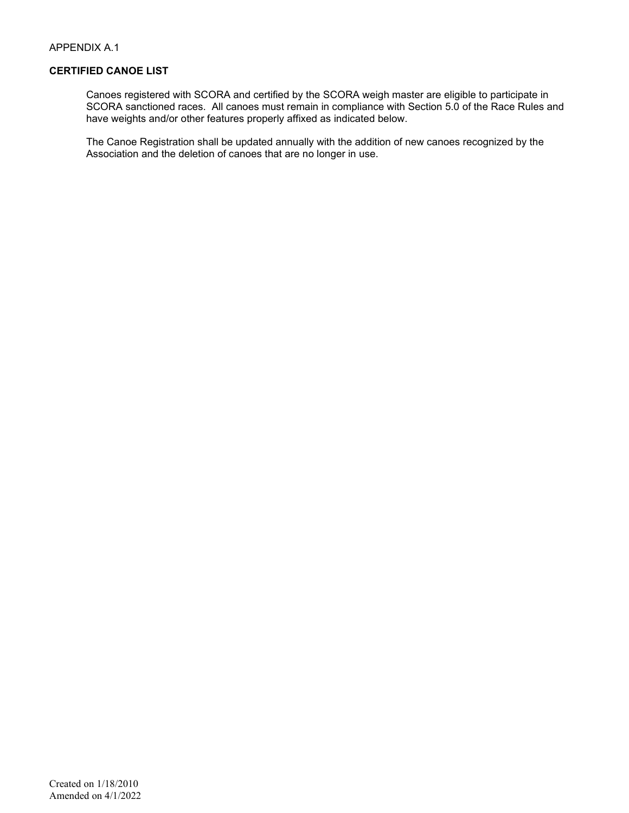#### APPENDIX A.1

#### **CERTIFIED CANOE LIST**

Canoes registered with SCORA and certified by the SCORA weigh master are eligible to participate in SCORA sanctioned races. All canoes must remain in compliance with Section 5.0 of the Race Rules and have weights and/or other features properly affixed as indicated below.

The Canoe Registration shall be updated annually with the addition of new canoes recognized by the Association and the deletion of canoes that are no longer in use.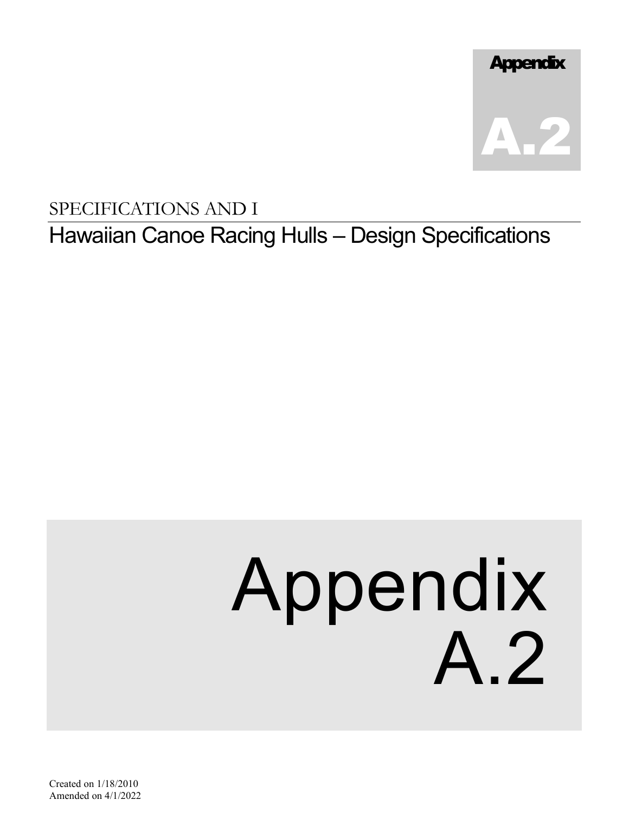

# SPECIFICATIONS AND I

# Hawaiian Canoe Racing Hulls – Design Specifications

# Appendix A.2

Created on 1/18/2010 Amended on 4/1/2022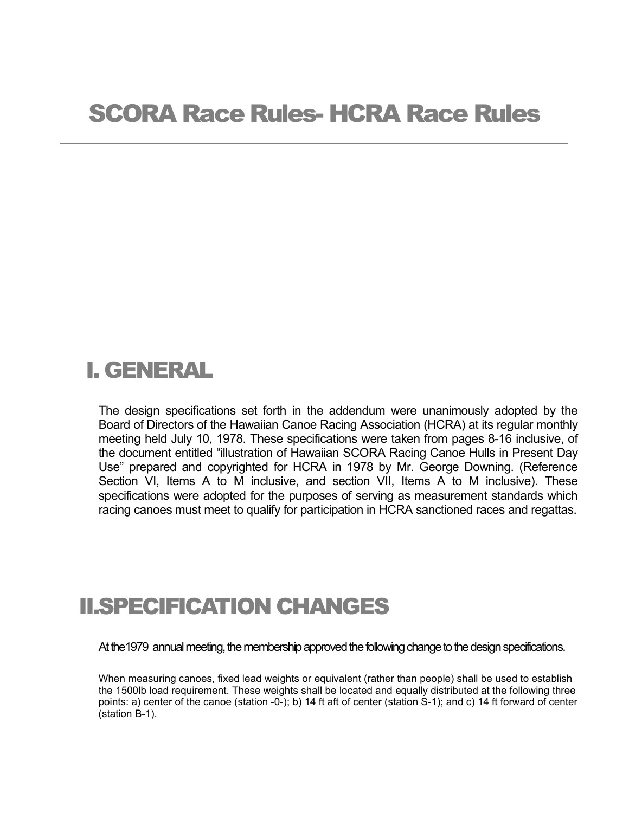# I. GENERAL

The design specifications set forth in the addendum were unanimously adopted by the Board of Directors of the Hawaiian Canoe Racing Association (HCRA) at its regular monthly meeting held July 10, 1978. These specifications were taken from pages 8-16 inclusive, of the document entitled "illustration of Hawaiian SCORA Racing Canoe Hulls in Present Day Use" prepared and copyrighted for HCRA in 1978 by Mr. George Downing. (Reference Section VI, Items A to M inclusive, and section VII, Items A to M inclusive). These specifications were adopted for the purposes of serving as measurement standards which racing canoes must meet to qualify for participation in HCRA sanctioned races and regattas.

# II.SPECIFICATION CHANGES

Atthe1979 annual meeting, the membership approved the following change to the design specifications.

When measuring canoes, fixed lead weights or equivalent (rather than people) shall be used to establish the 1500lb load requirement. These weights shall be located and equally distributed at the following three points: a) center of the canoe (station -0-); b) 14 ft aft of center (station S-1); and c) 14 ft forward of center (station B-1).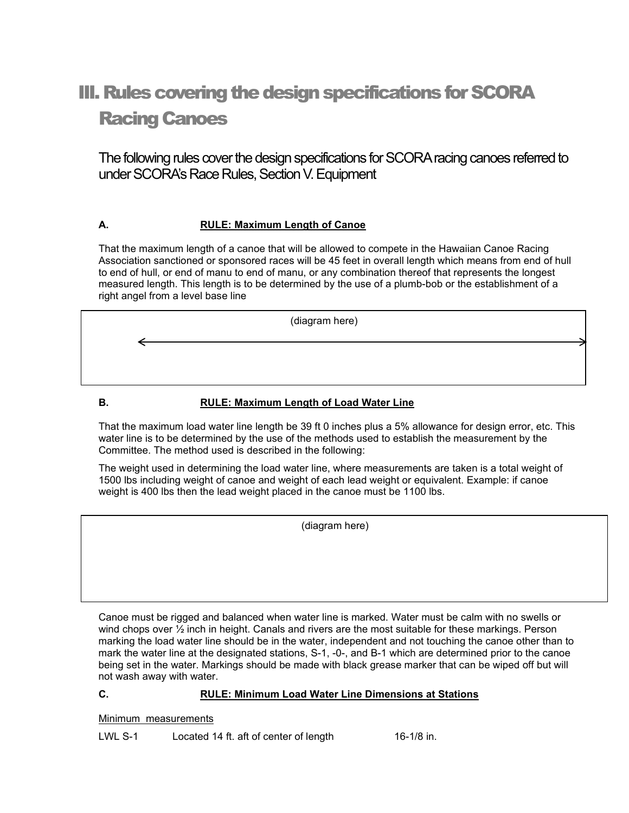# III.Rules covering the design specifications for SCORA Racing Canoes

The following rules cover the design specifications for SCORAracing canoes referred to under SCORA's Race Rules, Section V. Equipment

#### **A. RULE: Maximum Length of Canoe**

That the maximum length of a canoe that will be allowed to compete in the Hawaiian Canoe Racing Association sanctioned or sponsored races will be 45 feet in overall length which means from end of hull to end of hull, or end of manu to end of manu, or any combination thereof that represents the longest measured length. This length is to be determined by the use of a plumb-bob or the establishment of a right angel from a level base line



#### **B. RULE: Maximum Length of Load Water Line**

That the maximum load water line length be 39 ft 0 inches plus a 5% allowance for design error, etc. This water line is to be determined by the use of the methods used to establish the measurement by the Committee. The method used is described in the following:

The weight used in determining the load water line, where measurements are taken is a total weight of 1500 lbs including weight of canoe and weight of each lead weight or equivalent. Example: if canoe weight is 400 lbs then the lead weight placed in the canoe must be 1100 lbs.

(diagram here)

Canoe must be rigged and balanced when water line is marked. Water must be calm with no swells or wind chops over ½ inch in height. Canals and rivers are the most suitable for these markings. Person marking the load water line should be in the water, independent and not touching the canoe other than to mark the water line at the designated stations, S-1, -0-, and B-1 which are determined prior to the canoe being set in the water. Markings should be made with black grease marker that can be wiped off but will not wash away with water.

#### **C. RULE: Minimum Load Water Line Dimensions at Stations**

Minimum measurements

LWL S-1 Located 14 ft. aft of center of length 16-1/8 in.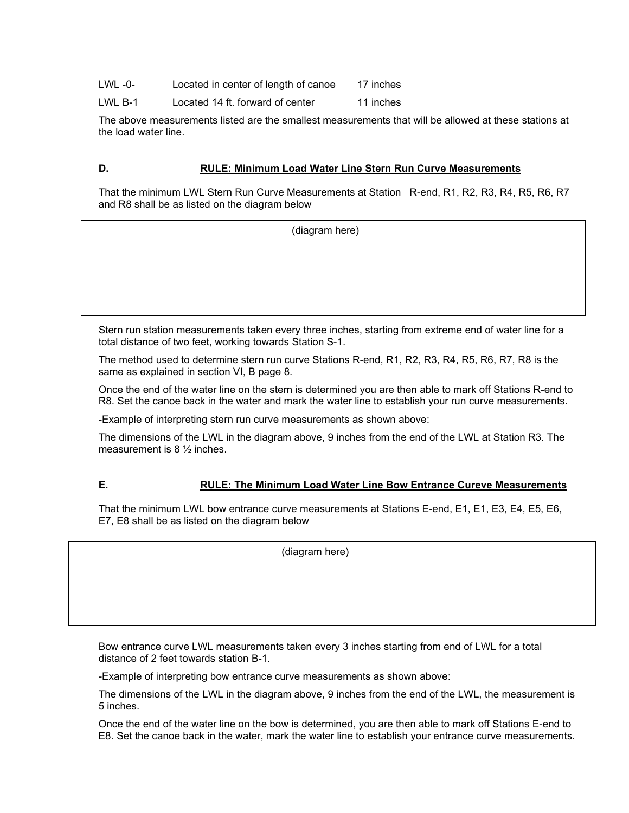| LWL -0- | Located in center of length of canoe | 17 inches |
|---------|--------------------------------------|-----------|
|---------|--------------------------------------|-----------|

LWL B-1 Located 14 ft. forward of center 11 inches

The above measurements listed are the smallest measurements that will be allowed at these stations at the load water line.

#### **D. RULE: Minimum Load Water Line Stern Run Curve Measurements**

That the minimum LWL Stern Run Curve Measurements at Station R-end, R1, R2, R3, R4, R5, R6, R7 and R8 shall be as listed on the diagram below

(diagram here)

Stern run station measurements taken every three inches, starting from extreme end of water line for a total distance of two feet, working towards Station S-1.

The method used to determine stern run curve Stations R-end, R1, R2, R3, R4, R5, R6, R7, R8 is the same as explained in section VI, B page 8.

Once the end of the water line on the stern is determined you are then able to mark off Stations R-end to R8. Set the canoe back in the water and mark the water line to establish your run curve measurements.

-Example of interpreting stern run curve measurements as shown above:

The dimensions of the LWL in the diagram above, 9 inches from the end of the LWL at Station R3. The measurement is 8 ½ inches.

#### **E. RULE: The Minimum Load Water Line Bow Entrance Cureve Measurements**

That the minimum LWL bow entrance curve measurements at Stations E-end, E1, E1, E3, E4, E5, E6, E7, E8 shall be as listed on the diagram below

(diagram here)

Bow entrance curve LWL measurements taken every 3 inches starting from end of LWL for a total distance of 2 feet towards station B-1.

-Example of interpreting bow entrance curve measurements as shown above:

The dimensions of the LWL in the diagram above, 9 inches from the end of the LWL, the measurement is 5 inches.

Once the end of the water line on the bow is determined, you are then able to mark off Stations E-end to E8. Set the canoe back in the water, mark the water line to establish your entrance curve measurements.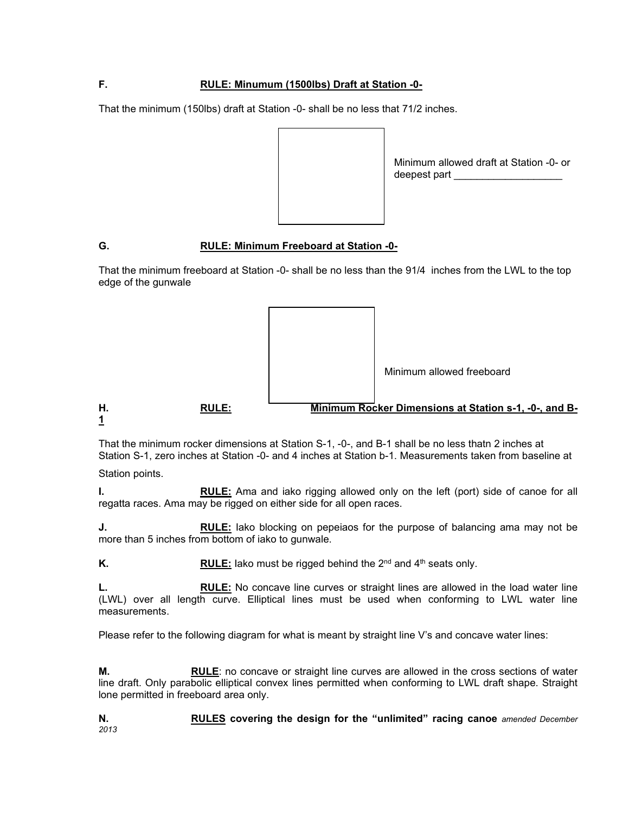#### **F. RULE: Minumum (1500lbs) Draft at Station -0-**

That the minimum (150lbs) draft at Station -0- shall be no less that 71/2 inches.

Minimum allowed draft at Station -0- or deepest part

#### **G. RULE: Minimum Freeboard at Station -0-**

That the minimum freeboard at Station -0- shall be no less than the 91/4 inches from the LWL to the top edge of the gunwale



That the minimum rocker dimensions at Station S-1, -0-, and B-1 shall be no less thatn 2 inches at Station S-1, zero inches at Station -0- and 4 inches at Station b-1. Measurements taken from baseline at

Station points.

**I. RULE:** Ama and iako rigging allowed only on the left (port) side of canoe for all regatta races. Ama may be rigged on either side for all open races.

**J. RULE:** Iako blocking on pepeiaos for the purpose of balancing ama may not be more than 5 inches from bottom of iako to gunwale.

**K. RULE:** Iako must be rigged behind the 2<sup>nd</sup> and 4<sup>th</sup> seats only.

**RULE:** No concave line curves or straight lines are allowed in the load water line (LWL) over all length curve. Elliptical lines must be used when conforming to LWL water line measurements.

Please refer to the following diagram for what is meant by straight line V's and concave water lines:

**M. RULE**: no concave or straight line curves are allowed in the cross sections of water line draft. Only parabolic elliptical convex lines permitted when conforming to LWL draft shape. Straight lone permitted in freeboard area only.

**N. RULES covering the design for the "unlimited" racing canoe** *amended December 2013*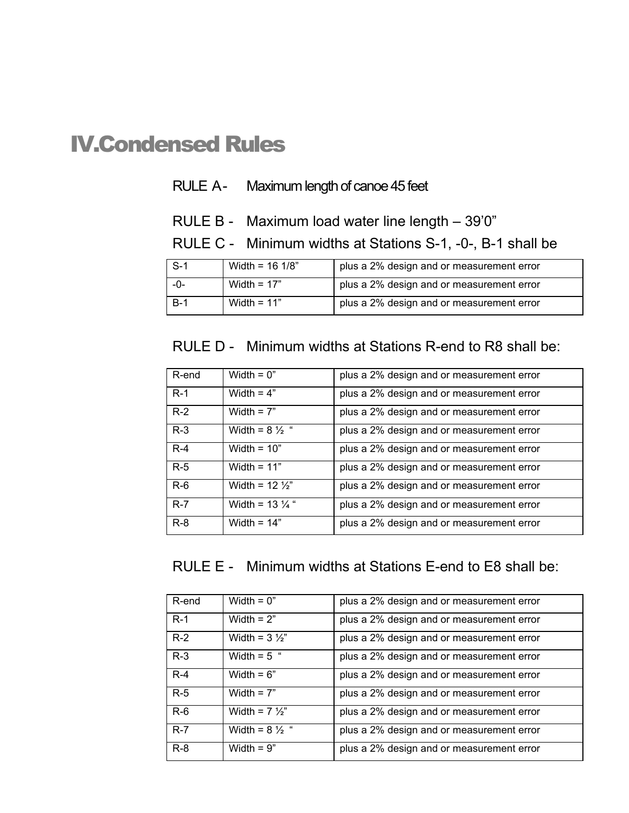# IV.Condensed Rules

## RULE A- Maximum length of canoe 45 feet

## RULE B - Maximum load water line length – 39'0"

## RULE C - Minimum widths at Stations S-1, -0-, B-1 shall be

| $S-1$ | Width = $16 \frac{1}{8}$ | plus a 2% design and or measurement error |
|-------|--------------------------|-------------------------------------------|
| -()-  | Width = $17"$            | plus a 2% design and or measurement error |
| $B-1$ | Width = $11"$            | plus a 2% design and or measurement error |

| R-end | Width $= 0$ "              | plus a 2% design and or measurement error |
|-------|----------------------------|-------------------------------------------|
| $R-1$ | Width = $4"$               | plus a 2% design and or measurement error |
| $R-2$ | Width = $7"$               | plus a 2% design and or measurement error |
| $R-3$ | Width = $8\frac{1}{2}$ "   | plus a 2% design and or measurement error |
| $R-4$ | Width = $10"$              | plus a 2% design and or measurement error |
| $R-5$ | Width = $11"$              | plus a 2% design and or measurement error |
| $R-6$ | Width = $12\frac{1}{2}$ "  | plus a 2% design and or measurement error |
| $R-7$ | Width = 13 $\frac{1}{4}$ " | plus a 2% design and or measurement error |
| $R-8$ | Width = $14"$              | plus a 2% design and or measurement error |

## RULE E - Minimum widths at Stations E-end to E8 shall be:

| R-end | Width = $0$ "            | plus a 2% design and or measurement error |
|-------|--------------------------|-------------------------------------------|
| $R-1$ | Width $= 2$ "            | plus a 2% design and or measurement error |
| $R-2$ | Width = $3\frac{1}{2}$ " | plus a 2% design and or measurement error |
| $R-3$ | Width = $5$ "            | plus a 2% design and or measurement error |
| $R-4$ | Width = $6"$             | plus a 2% design and or measurement error |
| $R-5$ | Width $= 7"$             | plus a 2% design and or measurement error |
| $R-6$ | Width = $7\frac{1}{2}$ " | plus a 2% design and or measurement error |
| $R-7$ | Width = $8\frac{1}{2}$ " | plus a 2% design and or measurement error |
| $R-8$ | Width $= 9"$             | plus a 2% design and or measurement error |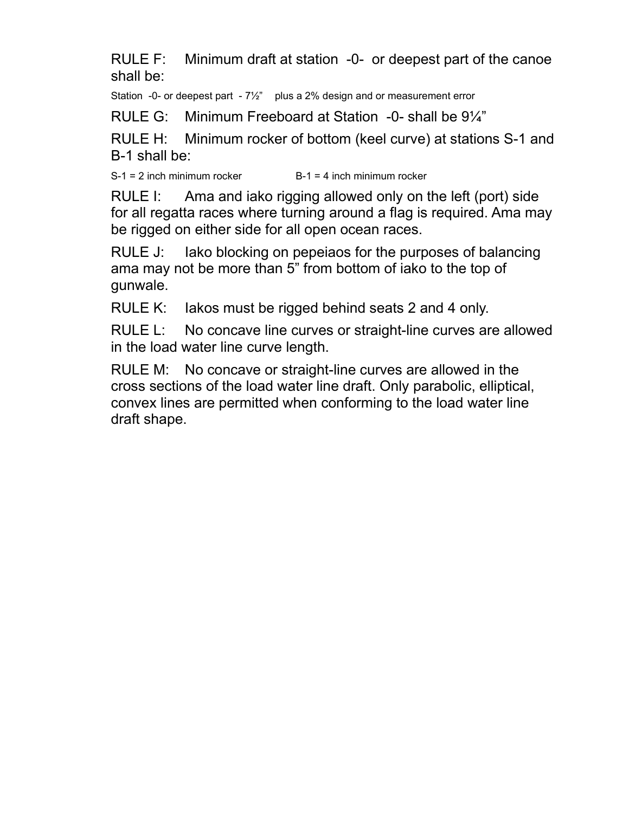RULE F: Minimum draft at station -0- or deepest part of the canoe shall be:

Station -0- or deepest part -  $7\frac{1}{2}$ " plus a 2% design and or measurement error

RULE G: Minimum Freeboard at Station -0- shall be 9¼"

RULE H: Minimum rocker of bottom (keel curve) at stations S-1 and B-1 shall be:

 $S-1 = 2$  inch minimum rocker  $B-1 = 4$  inch minimum rocker

RULE I: Ama and iako rigging allowed only on the left (port) side for all regatta races where turning around a flag is required. Ama may be rigged on either side for all open ocean races.

RULE J: Iako blocking on pepeiaos for the purposes of balancing ama may not be more than 5" from bottom of iako to the top of gunwale.

RULE K: Iakos must be rigged behind seats 2 and 4 only.

RULE L: No concave line curves or straight-line curves are allowed in the load water line curve length.

RULE M: No concave or straight-line curves are allowed in the cross sections of the load water line draft. Only parabolic, elliptical, convex lines are permitted when conforming to the load water line draft shape.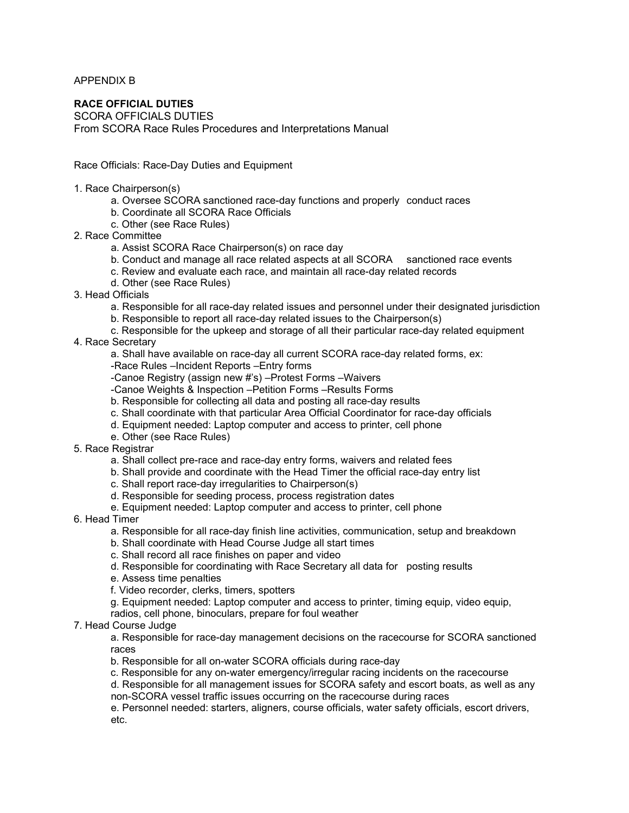APPENDIX B

#### **RACE OFFICIAL DUTIES**

SCORA OFFICIALS DUTIES

From SCORA Race Rules Procedures and Interpretations Manual

Race Officials: Race-Day Duties and Equipment

- 1. Race Chairperson(s)
	- a. Oversee SCORA sanctioned race-day functions and properly conduct races
	- b. Coordinate all SCORA Race Officials
	- c. Other (see Race Rules)
- 2. Race Committee
	- a. Assist SCORA Race Chairperson(s) on race day
	- b. Conduct and manage all race related aspects at all SCORA sanctioned race events
	- c. Review and evaluate each race, and maintain all race-day related records
	- d. Other (see Race Rules)
- 3. Head Officials
	- a. Responsible for all race-day related issues and personnel under their designated jurisdiction
	- b. Responsible to report all race-day related issues to the Chairperson(s)
	- c. Responsible for the upkeep and storage of all their particular race-day related equipment
- 4. Race Secretary
	- a. Shall have available on race-day all current SCORA race-day related forms, ex:
	- -Race Rules –Incident Reports –Entry forms
	- -Canoe Registry (assign new #'s) –Protest Forms –Waivers
	- -Canoe Weights & Inspection –Petition Forms –Results Forms
	- b. Responsible for collecting all data and posting all race-day results
	- c. Shall coordinate with that particular Area Official Coordinator for race-day officials
	- d. Equipment needed: Laptop computer and access to printer, cell phone
	- e. Other (see Race Rules)
- 5. Race Registrar
	- a. Shall collect pre-race and race-day entry forms, waivers and related fees
	- b. Shall provide and coordinate with the Head Timer the official race-day entry list
	- c. Shall report race-day irregularities to Chairperson(s)
	- d. Responsible for seeding process, process registration dates
	- e. Equipment needed: Laptop computer and access to printer, cell phone
- 6. Head Timer
	- a. Responsible for all race-day finish line activities, communication, setup and breakdown
	- b. Shall coordinate with Head Course Judge all start times
	- c. Shall record all race finishes on paper and video
	- d. Responsible for coordinating with Race Secretary all data for posting results
	- e. Assess time penalties
	- f. Video recorder, clerks, timers, spotters
	- g. Equipment needed: Laptop computer and access to printer, timing equip, video equip,
	- radios, cell phone, binoculars, prepare for foul weather
- 7. Head Course Judge

a. Responsible for race-day management decisions on the racecourse for SCORA sanctioned races

- b. Responsible for all on-water SCORA officials during race-day
- c. Responsible for any on-water emergency/irregular racing incidents on the racecourse

d. Responsible for all management issues for SCORA safety and escort boats, as well as any non-SCORA vessel traffic issues occurring on the racecourse during races

e. Personnel needed: starters, aligners, course officials, water safety officials, escort drivers, etc.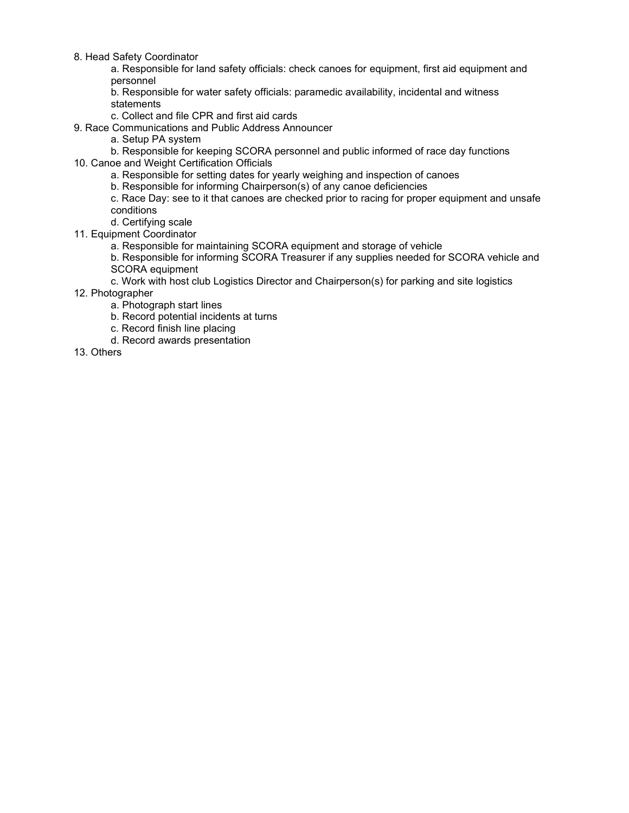8. Head Safety Coordinator

a. Responsible for land safety officials: check canoes for equipment, first aid equipment and personnel

- b. Responsible for water safety officials: paramedic availability, incidental and witness statements
- c. Collect and file CPR and first aid cards
- 9. Race Communications and Public Address Announcer
	- a. Setup PA system
	- b. Responsible for keeping SCORA personnel and public informed of race day functions
- 10. Canoe and Weight Certification Officials
	- a. Responsible for setting dates for yearly weighing and inspection of canoes
	- b. Responsible for informing Chairperson(s) of any canoe deficiencies
	- c. Race Day: see to it that canoes are checked prior to racing for proper equipment and unsafe conditions
	- d. Certifying scale
- 11. Equipment Coordinator
	- a. Responsible for maintaining SCORA equipment and storage of vehicle
	- b. Responsible for informing SCORA Treasurer if any supplies needed for SCORA vehicle and SCORA equipment
	- c. Work with host club Logistics Director and Chairperson(s) for parking and site logistics
- 12. Photographer
	- a. Photograph start lines
	- b. Record potential incidents at turns
	- c. Record finish line placing
	- d. Record awards presentation
- 13. Others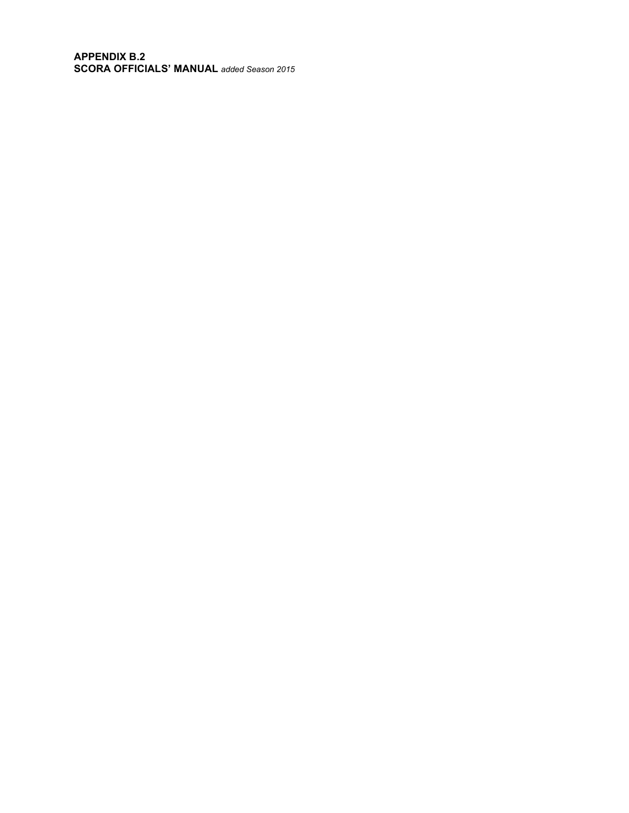**APPENDIX B.2 SCORA OFFICIALS' MANUAL** *added Season 2015*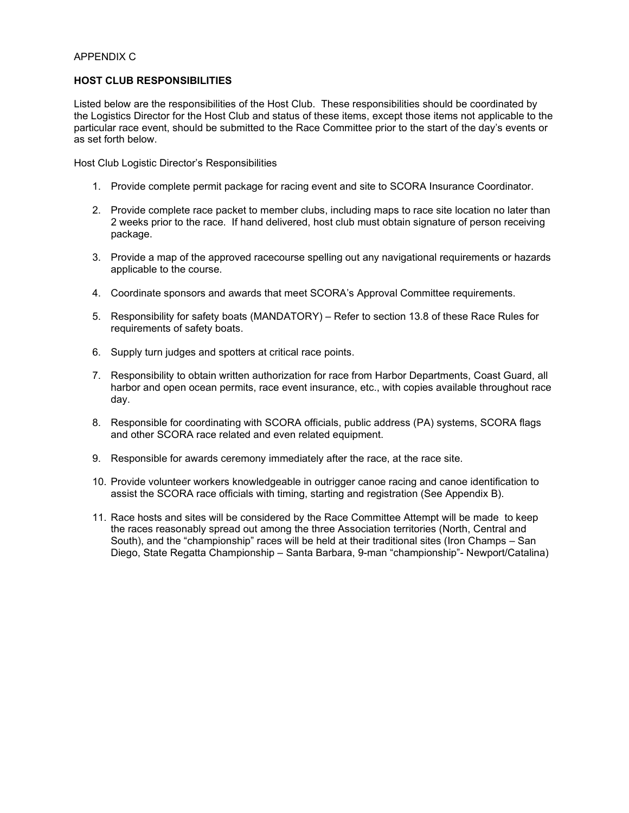#### APPENDIX C

#### **HOST CLUB RESPONSIBILITIES**

Listed below are the responsibilities of the Host Club. These responsibilities should be coordinated by the Logistics Director for the Host Club and status of these items, except those items not applicable to the particular race event, should be submitted to the Race Committee prior to the start of the day's events or as set forth below.

Host Club Logistic Director's Responsibilities

- 1. Provide complete permit package for racing event and site to SCORA Insurance Coordinator.
- 2. Provide complete race packet to member clubs, including maps to race site location no later than 2 weeks prior to the race. If hand delivered, host club must obtain signature of person receiving package.
- 3. Provide a map of the approved racecourse spelling out any navigational requirements or hazards applicable to the course.
- 4. Coordinate sponsors and awards that meet SCORA's Approval Committee requirements.
- 5. Responsibility for safety boats (MANDATORY) Refer to section 13.8 of these Race Rules for requirements of safety boats.
- 6. Supply turn judges and spotters at critical race points.
- 7. Responsibility to obtain written authorization for race from Harbor Departments, Coast Guard, all harbor and open ocean permits, race event insurance, etc., with copies available throughout race day.
- 8. Responsible for coordinating with SCORA officials, public address (PA) systems, SCORA flags and other SCORA race related and even related equipment.
- 9. Responsible for awards ceremony immediately after the race, at the race site.
- 10. Provide volunteer workers knowledgeable in outrigger canoe racing and canoe identification to assist the SCORA race officials with timing, starting and registration (See Appendix B).
- 11. Race hosts and sites will be considered by the Race Committee Attempt will be made to keep the races reasonably spread out among the three Association territories (North, Central and South), and the "championship" races will be held at their traditional sites (Iron Champs – San Diego, State Regatta Championship – Santa Barbara, 9-man "championship"- Newport/Catalina)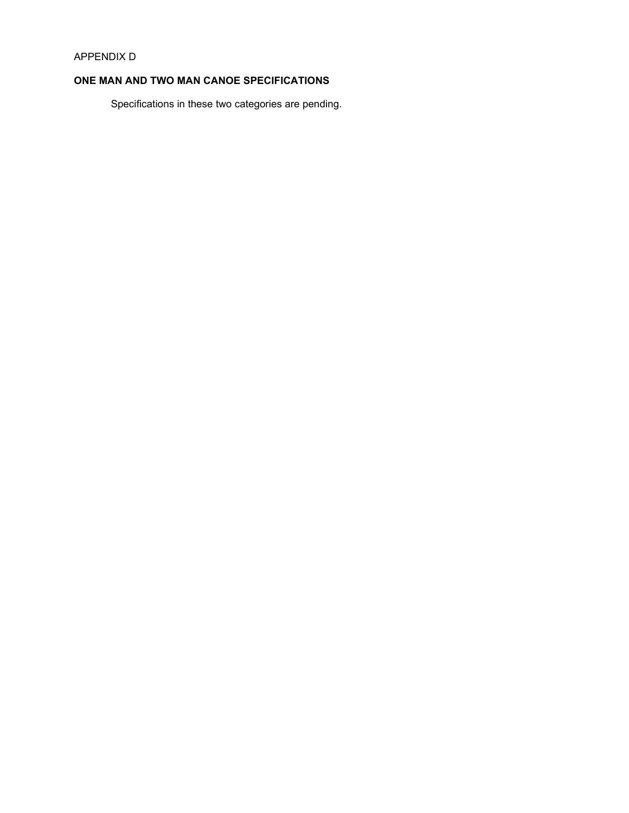#### APPENDIX D

#### **ONE MAN AND TWO MAN CANOE SPECIFICATIONS**

Specifications in these two categories are pending.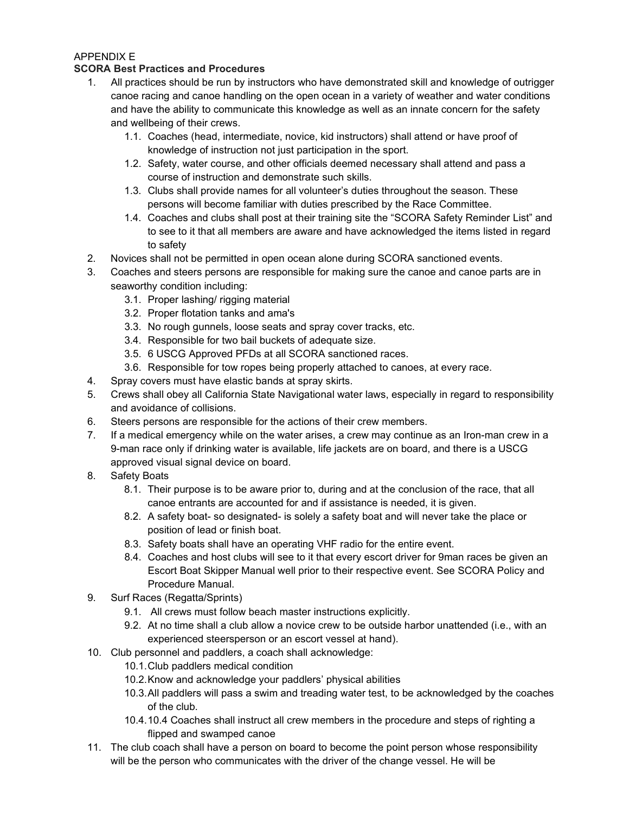#### APPENDIX E

#### **SCORA Best Practices and Procedures**

- 1. All practices should be run by instructors who have demonstrated skill and knowledge of outrigger canoe racing and canoe handling on the open ocean in a variety of weather and water conditions and have the ability to communicate this knowledge as well as an innate concern for the safety and wellbeing of their crews.
	- 1.1. Coaches (head, intermediate, novice, kid instructors) shall attend or have proof of knowledge of instruction not just participation in the sport.
	- 1.2. Safety, water course, and other officials deemed necessary shall attend and pass a course of instruction and demonstrate such skills.
	- 1.3. Clubs shall provide names for all volunteer's duties throughout the season. These persons will become familiar with duties prescribed by the Race Committee.
	- 1.4. Coaches and clubs shall post at their training site the "SCORA Safety Reminder List" and to see to it that all members are aware and have acknowledged the items listed in regard to safety
- 2. Novices shall not be permitted in open ocean alone during SCORA sanctioned events.
- 3. Coaches and steers persons are responsible for making sure the canoe and canoe parts are in seaworthy condition including:
	- 3.1. Proper lashing/ rigging material
	- 3.2. Proper flotation tanks and ama's
	- 3.3. No rough gunnels, loose seats and spray cover tracks, etc.
	- 3.4. Responsible for two bail buckets of adequate size.
	- 3.5. 6 USCG Approved PFDs at all SCORA sanctioned races.
	- 3.6. Responsible for tow ropes being properly attached to canoes, at every race.
- 4. Spray covers must have elastic bands at spray skirts.
- 5. Crews shall obey all California State Navigational water laws, especially in regard to responsibility and avoidance of collisions.
- 6. Steers persons are responsible for the actions of their crew members.
- 7. If a medical emergency while on the water arises, a crew may continue as an Iron-man crew in a 9-man race only if drinking water is available, life jackets are on board, and there is a USCG approved visual signal device on board.
- 8. Safety Boats
	- 8.1. Their purpose is to be aware prior to, during and at the conclusion of the race, that all canoe entrants are accounted for and if assistance is needed, it is given.
	- 8.2. A safety boat- so designated- is solely a safety boat and will never take the place or position of lead or finish boat.
	- 8.3. Safety boats shall have an operating VHF radio for the entire event.
	- 8.4. Coaches and host clubs will see to it that every escort driver for 9man races be given an Escort Boat Skipper Manual well prior to their respective event. See SCORA Policy and Procedure Manual.
- 9. Surf Races (Regatta/Sprints)
	- 9.1. All crews must follow beach master instructions explicitly.
	- 9.2. At no time shall a club allow a novice crew to be outside harbor unattended (i.e., with an experienced steersperson or an escort vessel at hand).
- 10. Club personnel and paddlers, a coach shall acknowledge:
	- 10.1.Club paddlers medical condition
	- 10.2.Know and acknowledge your paddlers' physical abilities
	- 10.3.All paddlers will pass a swim and treading water test, to be acknowledged by the coaches of the club.
	- 10.4.10.4 Coaches shall instruct all crew members in the procedure and steps of righting a flipped and swamped canoe
- 11. The club coach shall have a person on board to become the point person whose responsibility will be the person who communicates with the driver of the change vessel. He will be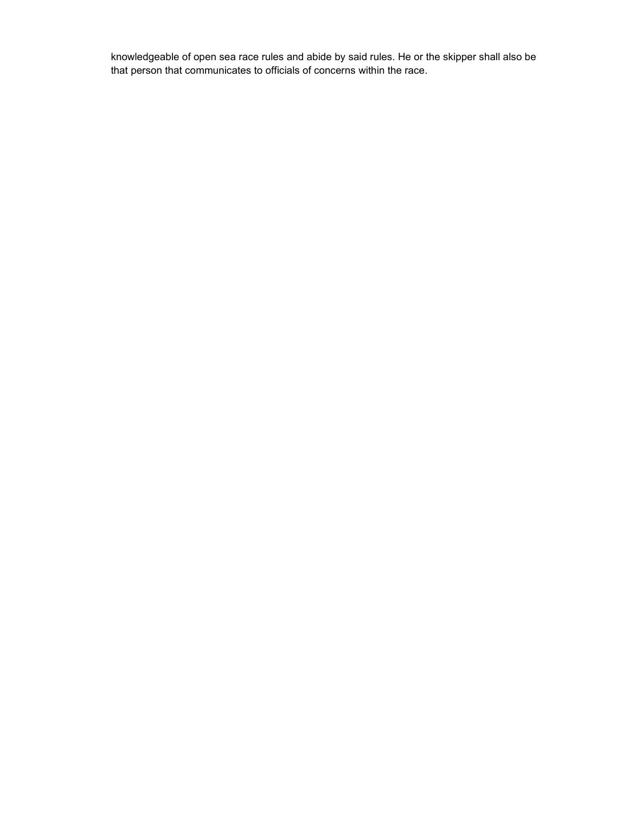knowledgeable of open sea race rules and abide by said rules. He or the skipper shall also be that person that communicates to officials of concerns within the race.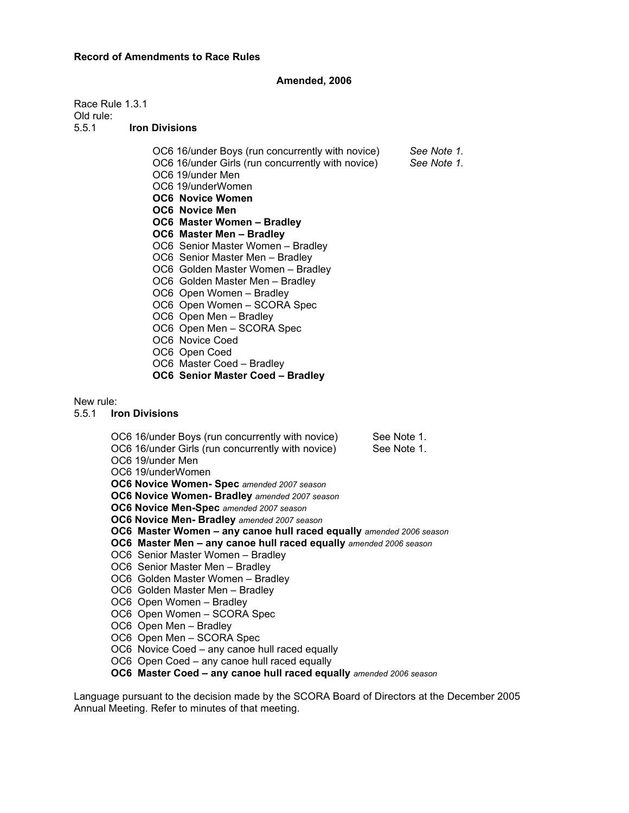#### **Amended, 2006**

Race Rule 1.3.1 Old rule:

5.5.1 **Iron Divisions**

OC6 16/under Boys (run concurrently with novice) *See Note 1.* OC6 16/under Girls (run concurrently with novice) OC6 19/under Men OC6 19/underWomen **OC6 Novice Women OC6 Novice Men OC6 Master Women – Bradley OC6 Master Men – Bradley**  OC6 Senior Master Women – Bradley OC6 Senior Master Men – Bradley OC6 Golden Master Women – Bradley OC6 Golden Master Men – Bradley OC6 Open Women – Bradley OC6 Open Women – SCORA Spec OC6 Open Men – Bradley OC6 Open Men – SCORA Spec OC6 Novice Coed OC6 Open Coed OC6 Master Coed – Bradley **OC6 Senior Master Coed – Bradley** 

#### New rule:

- 5.5.1 **Iron Divisions**
	- OC6 16/under Boys (run concurrently with novice) See Note 1. OC6 16/under Girls (run concurrently with novice) See Note 1. OC6 19/under Men OC6 19/underWomen **OC6 Novice Women- Spec** *amended 2007 season* **OC6 Novice Women- Bradley** *amended 2007 season* **OC6 Novice Men-Spec** *amended 2007 season* **OC6 Novice Men- Bradley** *amended 2007 season* **OC6 Master Women – any canoe hull raced equally** *amended 2006 season* **OC6 Master Men – any canoe hull raced equally** *amended 2006 season* OC6 Senior Master Women – Bradley OC6 Senior Master Men – Bradley OC6 Golden Master Women – Bradley OC6 Golden Master Men – Bradley OC6 Open Women – Bradley OC6 Open Women – SCORA Spec OC6 Open Men – Bradley OC6 Open Men – SCORA Spec OC6 Novice Coed – any canoe hull raced equally OC6 Open Coed – any canoe hull raced equally **OC6 Master Coed – any canoe hull raced equally** *amended 2006 season*

Language pursuant to the decision made by the SCORA Board of Directors at the December 2005 Annual Meeting. Refer to minutes of that meeting.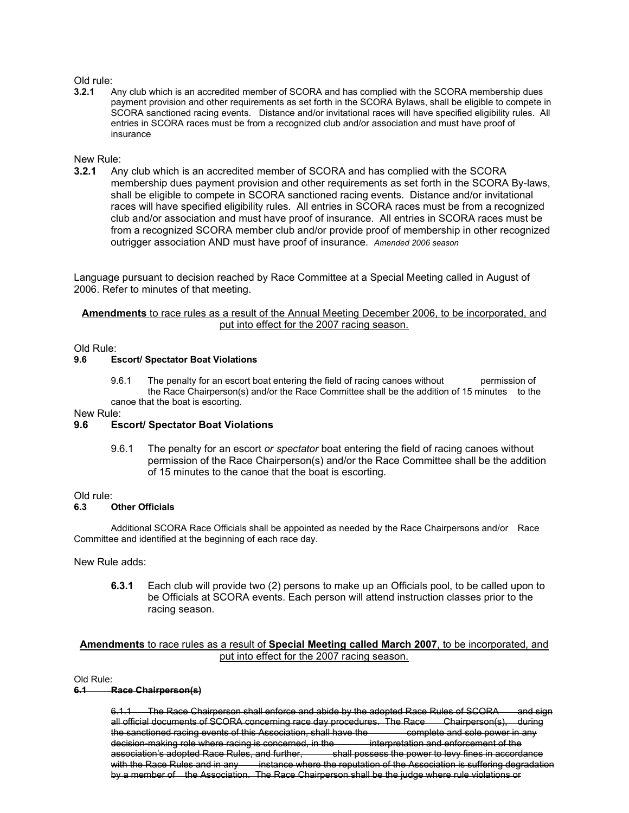## Old rule:<br>**3.2.1**

**3.2.1** Any club which is an accredited member of SCORA and has complied with the SCORA membership dues payment provision and other requirements as set forth in the SCORA Bylaws, shall be eligible to compete in SCORA sanctioned racing events. Distance and/or invitational races will have specified eligibility rules. All entries in SCORA races must be from a recognized club and/or association and must have proof of insurance

# New Rule:<br>3.2.1 An

**3.2.1** Any club which is an accredited member of SCORA and has complied with the SCORA membership dues payment provision and other requirements as set forth in the SCORA By-laws, shall be eligible to compete in SCORA sanctioned racing events. Distance and/or invitational races will have specified eligibility rules. All entries in SCORA races must be from a recognized club and/or association and must have proof of insurance. All entries in SCORA races must be from a recognized SCORA member club and/or provide proof of membership in other recognized outrigger association AND must have proof of insurance. *Amended 2006 season*

Language pursuant to decision reached by Race Committee at a Special Meeting called in August of 2006. Refer to minutes of that meeting.

#### **Amendments** to race rules as a result of the Annual Meeting December 2006, to be incorporated, and put into effect for the 2007 racing season.

# Old Rule:<br>9.6 E

#### **9.6 Escort/ Spectator Boat Violations**

9.6.1 The penalty for an escort boat entering the field of racing canoes without permission of the Race Chairperson(s) and/or the Race Committee shall be the addition of 15 minutes to the canoe that the boat is escorting.

New Rule:

#### **9.6 Escort/ Spectator Boat Violations**

9.6.1 The penalty for an escort *or spectator* boat entering the field of racing canoes without permission of the Race Chairperson(s) and/or the Race Committee shall be the addition of 15 minutes to the canoe that the boat is escorting.

# Old rule:<br>6.3

#### **6.3 Other Officials**

Additional SCORA Race Officials shall be appointed as needed by the Race Chairpersons and/or Race Committee and identified at the beginning of each race day.

New Rule adds:

**6.3.1** Each club will provide two (2) persons to make up an Officials pool, to be called upon to be Officials at SCORA events. Each person will attend instruction classes prior to the racing season.

#### **Amendments** to race rules as a result of **Special Meeting called March 2007**, to be incorporated, and put into effect for the 2007 racing season.

## Old Rule:<br>6.1

#### **6.1 Race Chairperson(s)**

6.1.1 The Race Chairperson shall enforce and abide by the adopted Race Rules of SCORA and sign<br>all official documents of SCORA concerning race day procedures. The Race \_\_\_Chairperson(s), \_\_during all official documents of SCORA concerning race day procedures. The Race the sanctioned racing events of this Association, shall have the complete and sole power in any decision-making role where racing is concerned, in the interpretation and enforcement of the decision of the i<br>association's adopted Race Rules, and further, and the sociess the power to levy fines in accordance association's adopted Race Rules, and further, with the Race Rules and in any instance where the reputation of the Association is suffering degradation by a member of the Association. The Race Chairperson shall be the judge where rule violations or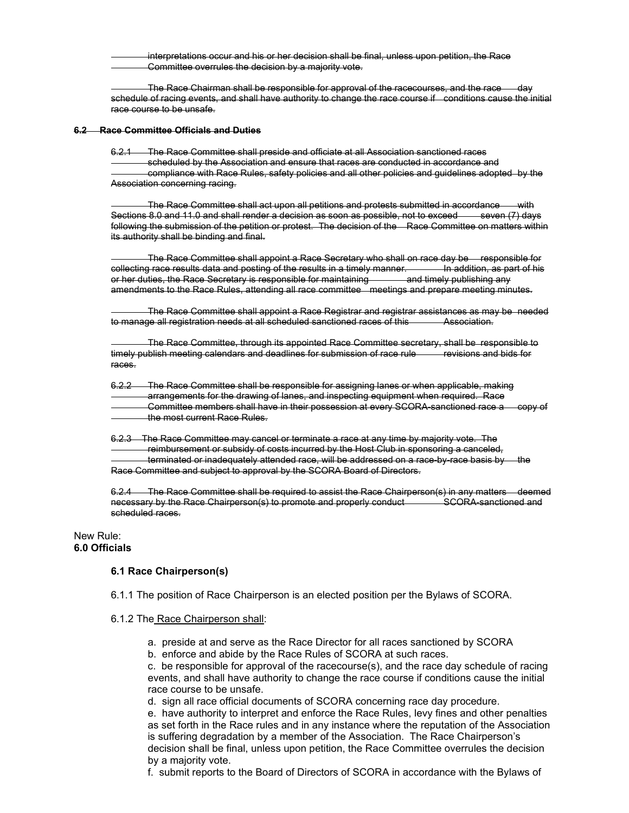interpretations occur and his or her decision shall be final, unless upon petition, the Race Committee overrules the decision by a majority vote.

The Race Chairman shall be responsible for approval of the racecourses, and the race day schedule of racing events, and shall have authority to change the race course if conditions cause the initial race course to be unsafe.

#### **6.2 Race Committee Officials and Duties**

6.2.1 The Race Committee shall preside and officiate at all Association sanctioned races scheduled by the Association and ensure that races are conducted in accordance and compliance with Race Rules, safety policies and all other policies and guidelines adopted by the Association concerning racing.

The Race Committee shall act upon all petitions and protests submitted in accordance with Sections 8.0 and 11.0 and shall render a decision as soon as possible, not to exceed seven (7) days following the submission of the petition or protest. The decision of the Race Committee on matters within its authority shall be binding and final.

The Race Committee shall appoint a Race Secretary who shall on race day be responsible for collecting race results data and posting of the results in a timely manner. The addition, as part of his or her duties, the Race Secretary is responsible for maintaining and timely publishing any amendments to the Race Rules, attending all race committee meetings and prepare meeting minutes.

The Race Committee shall appoint a Race Registrar and registrar assistances as may be needed<br>ie all registration needs at all scheduled sanctioned races of this \_\_\_\_\_\_\_Association. to manage all registration needs at all scheduled sanctioned races of this

The Race Committee, through its appointed Race Committee secretary, shall be responsible to timely publish meeting calendars and deadlines for submission of race rule revisions and bids for races.

6.2.2 The Race Committee shall be responsible for assigning lanes or when applicable, making arrangements for the drawing of lanes, and inspecting equipment when required. Race Committee members shall have in their possession at every SCORA-sanctioned race a copy of the most current Race Rules.

6.2.3 The Race Committee may cancel or terminate a race at any time by majority vote. The reimbursement or subsidy of costs incurred by the Host Club in sponsoring a canceled, terminated or inadequately attended race, will be addressed on a race-by-race basis by the Race Committee and subject to approval by the SCORA Board of Directors.

6.2.4 The Race Committee shall be required to assist the Race Chairperson(s) in any matters deemed necessary by the Race Chairperson(s) to promote and properly conduct SCORA-sanctioned and scheduled races.

#### New Rule: **6.0 Officials**

#### **6.1 Race Chairperson(s)**

6.1.1 The position of Race Chairperson is an elected position per the Bylaws of SCORA.

#### 6.1.2 The Race Chairperson shall:

- a. preside at and serve as the Race Director for all races sanctioned by SCORA
- b. enforce and abide by the Race Rules of SCORA at such races.

c. be responsible for approval of the racecourse(s), and the race day schedule of racing events, and shall have authority to change the race course if conditions cause the initial race course to be unsafe.

d. sign all race official documents of SCORA concerning race day procedure.

e. have authority to interpret and enforce the Race Rules, levy fines and other penalties as set forth in the Race rules and in any instance where the reputation of the Association is suffering degradation by a member of the Association. The Race Chairperson's decision shall be final, unless upon petition, the Race Committee overrules the decision by a majority vote.

f. submit reports to the Board of Directors of SCORA in accordance with the Bylaws of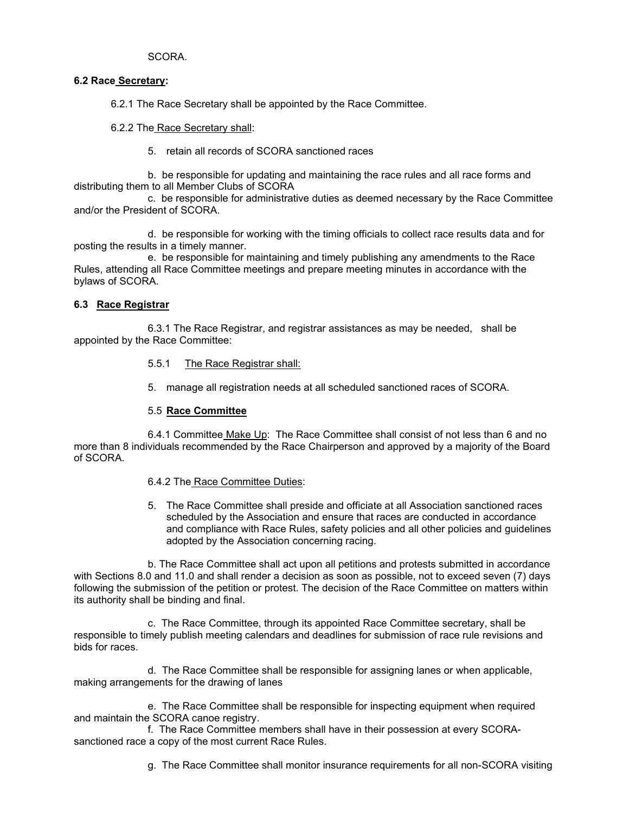SCORA.

#### **6.2 Race Secretary:**

6.2.1 The Race Secretary shall be appointed by the Race Committee.

6.2.2 The Race Secretary shall:

5. retain all records of SCORA sanctioned races

 b. be responsible for updating and maintaining the race rules and all race forms and distributing them to all Member Clubs of SCORA

c. be responsible for administrative duties as deemed necessary by the Race Committee and/or the President of SCORA.

 d. be responsible for working with the timing officials to collect race results data and for posting the results in a timely manner.

 e. be responsible for maintaining and timely publishing any amendments to the Race Rules, attending all Race Committee meetings and prepare meeting minutes in accordance with the bylaws of SCORA.

#### **6.3 Race Registrar**

 6.3.1 The Race Registrar, and registrar assistances as may be needed, shall be appointed by the Race Committee:

#### 5.5.1 The Race Registrar shall:

5. manage all registration needs at all scheduled sanctioned races of SCORA.

#### 5.5 **Race Committee**

 6.4.1 Committee Make Up: The Race Committee shall consist of not less than 6 and no more than 8 individuals recommended by the Race Chairperson and approved by a majority of the Board of SCORA.

#### 6.4.2 The Race Committee Duties:

5. The Race Committee shall preside and officiate at all Association sanctioned races scheduled by the Association and ensure that races are conducted in accordance and compliance with Race Rules, safety policies and all other policies and guidelines adopted by the Association concerning racing.

 b. The Race Committee shall act upon all petitions and protests submitted in accordance with Sections 8.0 and 11.0 and shall render a decision as soon as possible, not to exceed seven (7) days following the submission of the petition or protest. The decision of the Race Committee on matters within its authority shall be binding and final.

 c. The Race Committee, through its appointed Race Committee secretary, shall be responsible to timely publish meeting calendars and deadlines for submission of race rule revisions and bids for races.

 d. The Race Committee shall be responsible for assigning lanes or when applicable, making arrangements for the drawing of lanes

 e. The Race Committee shall be responsible for inspecting equipment when required and maintain the SCORA canoe registry.

 f. The Race Committee members shall have in their possession at every SCORAsanctioned race a copy of the most current Race Rules.

g. The Race Committee shall monitor insurance requirements for all non-SCORA visiting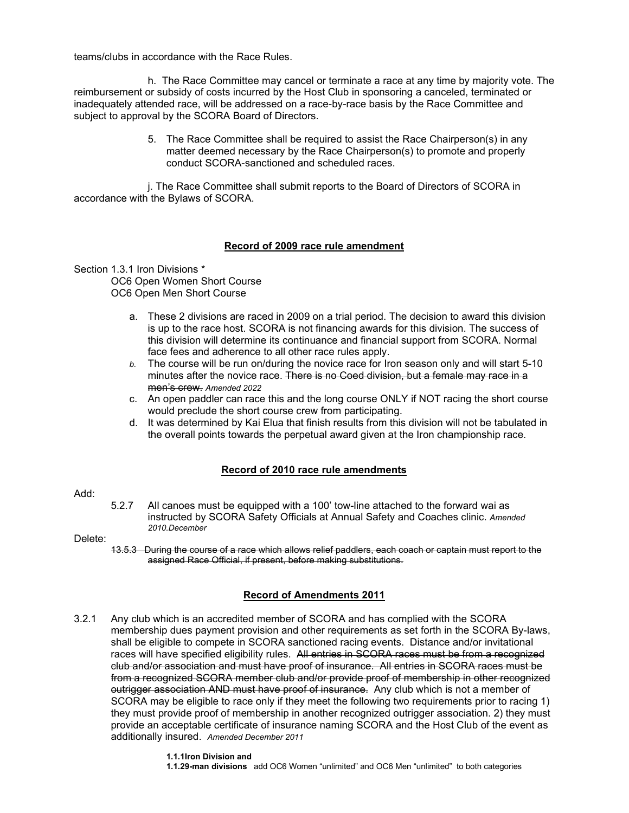teams/clubs in accordance with the Race Rules.

 h. The Race Committee may cancel or terminate a race at any time by majority vote. The reimbursement or subsidy of costs incurred by the Host Club in sponsoring a canceled, terminated or inadequately attended race, will be addressed on a race-by-race basis by the Race Committee and subject to approval by the SCORA Board of Directors.

> 5. The Race Committee shall be required to assist the Race Chairperson(s) in any matter deemed necessary by the Race Chairperson(s) to promote and properly conduct SCORA-sanctioned and scheduled races.

 j. The Race Committee shall submit reports to the Board of Directors of SCORA in accordance with the Bylaws of SCORA.

#### **Record of 2009 race rule amendment**

Section 1.3.1 Iron Divisions \*

OC6 Open Women Short Course OC6 Open Men Short Course

- a. These 2 divisions are raced in 2009 on a trial period. The decision to award this division is up to the race host. SCORA is not financing awards for this division. The success of this division will determine its continuance and financial support from SCORA. Normal face fees and adherence to all other race rules apply.
- *b.* The course will be run on/during the novice race for Iron season only and will start 5-10 minutes after the novice race. There is no Coed division, but a female may race in a men's crew. *Amended 2022*
- c. An open paddler can race this and the long course ONLY if NOT racing the short course would preclude the short course crew from participating.
- d. It was determined by Kai Elua that finish results from this division will not be tabulated in the overall points towards the perpetual award given at the Iron championship race.

#### **Record of 2010 race rule amendments**

#### Add:

5.2.7 All canoes must be equipped with a 100' tow-line attached to the forward wai as instructed by SCORA Safety Officials at Annual Safety and Coaches clinic. *Amended 2010.December*

#### Delete:

13.5.3 During the course of a race which allows relief paddlers, each coach or captain must report to the assigned Race Official, if present, before making substitutions.

#### **Record of Amendments 2011**

3.2.1 Any club which is an accredited member of SCORA and has complied with the SCORA membership dues payment provision and other requirements as set forth in the SCORA By-laws, shall be eligible to compete in SCORA sanctioned racing events. Distance and/or invitational races will have specified eligibility rules. All entries in SCORA races must be from a recognized club and/or association and must have proof of insurance. All entries in SCORA races must be from a recognized SCORA member club and/or provide proof of membership in other recognized outrigger association AND must have proof of insurance. Any club which is not a member of SCORA may be eligible to race only if they meet the following two requirements prior to racing 1) they must provide proof of membership in another recognized outrigger association. 2) they must provide an acceptable certificate of insurance naming SCORA and the Host Club of the event as additionally insured. *Amended December 2011*

**1.1.1Iron Division and**

**1.1.2 9-man divisions** add OC6 Women "unlimited" and OC6 Men "unlimited" to both categories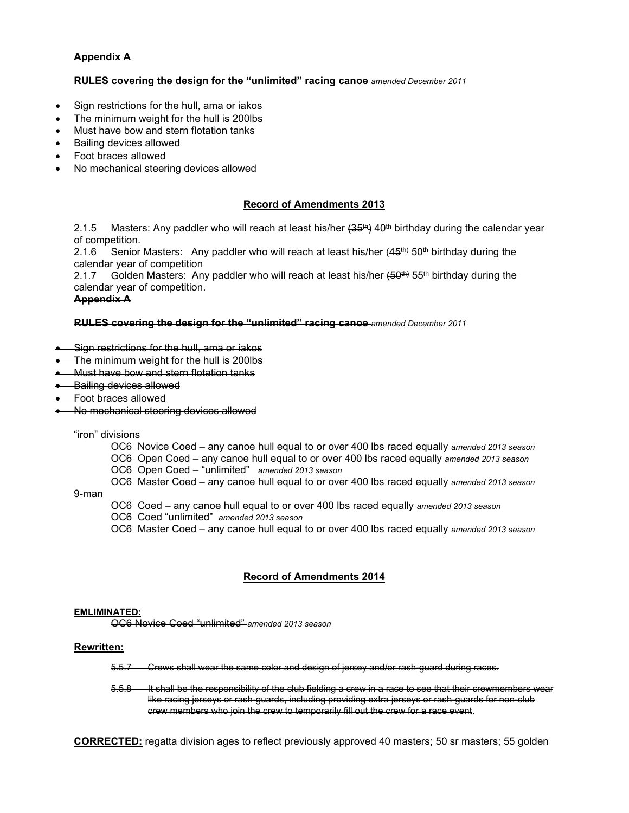#### **Appendix A**

#### **RULES covering the design for the "unlimited" racing canoe** *amended December 2011*

- Sign restrictions for the hull, ama or iakos
- The minimum weight for the hull is 200lbs
- Must have bow and stern flotation tanks
- Bailing devices allowed
- Foot braces allowed
- No mechanical steering devices allowed

#### **Record of Amendments 2013**

2.1.5 Masters: Any paddler who will reach at least his/her  $(35<sup>th</sup>)$  40<sup>th</sup> birthday during the calendar year of competition.

2.1.6 Senior Masters: Any paddler who will reach at least his/her  $(45<sup>th</sup>)$  50<sup>th</sup> birthday during the calendar year of competition

2.1.7 Golden Masters: Any paddler who will reach at least his/her  $(50<sup>th</sup>)$  55<sup>th</sup> birthday during the calendar year of competition.

#### **Appendix A**

#### **RULES covering the design for the "unlimited" racing canoe** *amended December 2011*

- Sign restrictions for the hull, ama or iakos
- The minimum weight for the hull is 200lbs
- Must have bow and stern flotation tanks
- Bailing devices allowed
- Foot braces allowed
- No mechanical steering devices allowed

"iron" divisions

- OC6 Novice Coed any canoe hull equal to or over 400 lbs raced equally *amended 2013 season*
- OC6 Open Coed any canoe hull equal to or over 400 lbs raced equally *amended 2013 season*
- OC6 Open Coed "unlimited" *amended 2013 season*
- OC6 Master Coed any canoe hull equal to or over 400 lbs raced equally *amended 2013 season*

9-man

- OC6 Coed any canoe hull equal to or over 400 lbs raced equally *amended 2013 season*
- OC6 Coed "unlimited" *amended 2013 season*
- OC6 Master Coed any canoe hull equal to or over 400 lbs raced equally *amended 2013 season*

#### **Record of Amendments 2014**

#### **EMLIMINATED:**

OC6 Novice Coed "unlimited" *amended 2013 season*

#### **Rewritten:**

5.5.7 Crews shall wear the same color and design of jersey and/or rash-guard during races.

5.5.8 It shall be the responsibility of the club fielding a crew in a race to see that their crewmembers wear like racing jerseys or rash-guards, including providing extra jerseys or rash-guards for non-club crew members who join the crew to temporarily fill out the crew for a race event.

**CORRECTED:** regatta division ages to reflect previously approved 40 masters; 50 sr masters; 55 golden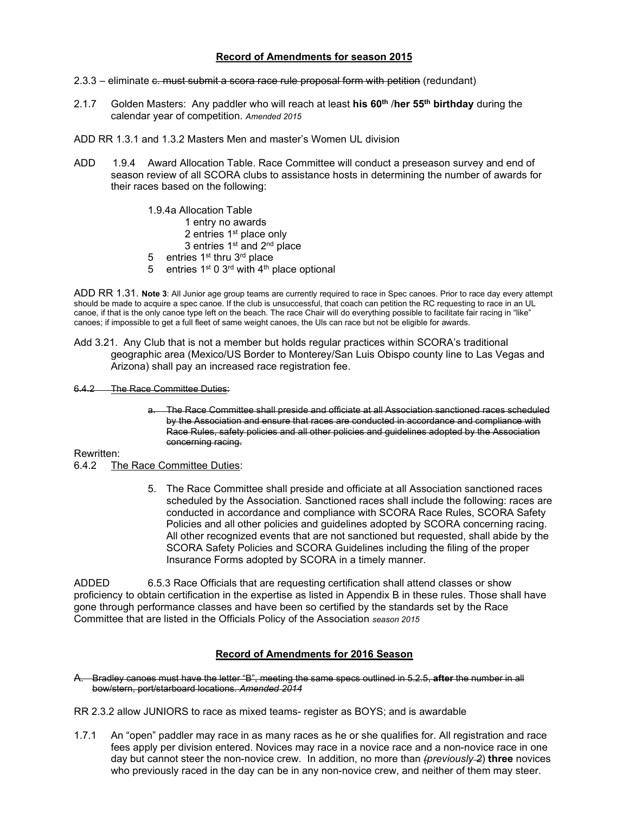#### **Record of Amendments for season 2015**

- 2.3.3 eliminate e. must submit a scora race rule proposal form with petition (redundant)
- 2.1.7 Golden Masters: Any paddler who will reach at least **his 60th** /**her 55th birthday** during the calendar year of competition. *Amended 2015*
- ADD RR 1.3.1 and 1.3.2 Masters Men and master's Women UL division
- ADD 1.9.4 Award Allocation Table. Race Committee will conduct a preseason survey and end of season review of all SCORA clubs to assistance hosts in determining the number of awards for their races based on the following:
	- 1.9.4a Allocation Table
		- 1 entry no awards
		- 2 entries 1<sup>st</sup> place only
		- 3 entries 1st and 2nd place
	- 5 entries 1<sup>st</sup> thru 3<sup>rd</sup> place
	- 5 entries  $1^{st}$  0  $3^{rd}$  with  $4^{th}$  place optional

ADD RR 1.31. **Note 3**: All Junior age group teams are currently required to race in Spec canoes. Prior to race day every attempt should be made to acquire a spec canoe. If the club is unsuccessful, that coach can petition the RC requesting to race in an UL canoe, if that is the only canoe type left on the beach. The race Chair will do everything possible to facilitate fair racing in "like" canoes; if impossible to get a full fleet of same weight canoes, the Uls can race but not be eligible for awards.

Add 3.21. Any Club that is not a member but holds regular practices within SCORA's traditional geographic area (Mexico/US Border to Monterey/San Luis Obispo county line to Las Vegas and Arizona) shall pay an increased race registration fee.

- 6.4.2 The Race Committee Duties:
	- a. The Race Committee shall preside and officiate at all Association sanctioned races scheduled by the Association and ensure that races are conducted in accordance and compliance with Race Rules, safety policies and all other policies and guidelines adopted by the Association concerning racing.

Rewritten:

- 6.4.2 The Race Committee Duties:
	- 5. The Race Committee shall preside and officiate at all Association sanctioned races scheduled by the Association. Sanctioned races shall include the following: races are conducted in accordance and compliance with SCORA Race Rules, SCORA Safety Policies and all other policies and guidelines adopted by SCORA concerning racing. All other recognized events that are not sanctioned but requested, shall abide by the SCORA Safety Policies and SCORA Guidelines including the filing of the proper Insurance Forms adopted by SCORA in a timely manner.

ADDED 6.5.3 Race Officials that are requesting certification shall attend classes or show proficiency to obtain certification in the expertise as listed in Appendix B in these rules. Those shall have gone through performance classes and have been so certified by the standards set by the Race Committee that are listed in the Officials Policy of the Association *season 2015*

#### **Record of Amendments for 2016 Season**

A. Bradley canoes must have the letter "B", meeting the same specs outlined in 5.2.5, **after** the number in all bow/stern, port/starboard locations. *Amended 2014*

RR 2.3.2 allow JUNIORS to race as mixed teams- register as BOYS; and is awardable

1.7.1 An "open" paddler may race in as many races as he or she qualifies for. All registration and race fees apply per division entered. Novices may race in a novice race and a non-novice race in one day but cannot steer the non-novice crew. In addition, no more than *(previously 2*) **three** novices who previously raced in the day can be in any non-novice crew, and neither of them may steer.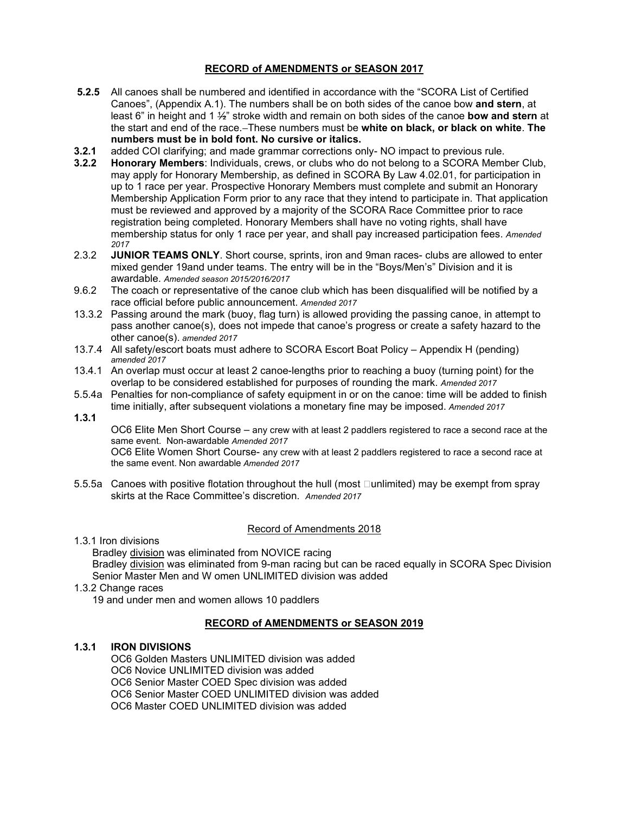#### **RECORD of AMENDMENTS or SEASON 2017**

- **5.2.5** All canoes shall be numbered and identified in accordance with the "SCORA List of Certified Canoes", (Appendix A.1). The numbers shall be on both sides of the canoe bow **and stern**, at least 6" in height and 1 ½" stroke width and remain on both sides of the canoe **bow and stern** at the start and end of the race. These numbers must be **white on black, or black on white**. **The numbers must be in bold font. No cursive or italics.**
- **3.2.1** added COI clarifying; and made grammar corrections only- NO impact to previous rule.<br>**3.2.2 Honorary Members**: Individuals, crews, or clubs who do not belong to a SCORA Meml
- **3.2.2 Honorary Members**: Individuals, crews, or clubs who do not belong to a SCORA Member Club, may apply for Honorary Membership, as defined in SCORA By Law 4.02.01, for participation in up to 1 race per year. Prospective Honorary Members must complete and submit an Honorary Membership Application Form prior to any race that they intend to participate in. That application must be reviewed and approved by a majority of the SCORA Race Committee prior to race registration being completed. Honorary Members shall have no voting rights, shall have membership status for only 1 race per year, and shall pay increased participation fees. *Amended 2017*
- 2.3.2 **JUNIOR TEAMS ONLY**. Short course, sprints, iron and 9man races- clubs are allowed to enter mixed gender 19and under teams. The entry will be in the "Boys/Men's" Division and it is awardable. *Amended season 2015/2016/2017*
- 9.6.2 The coach or representative of the canoe club which has been disqualified will be notified by a race official before public announcement. *Amended 2017*
- 13.3.2 Passing around the mark (buoy, flag turn) is allowed providing the passing canoe, in attempt to pass another canoe(s), does not impede that canoe's progress or create a safety hazard to the other canoe(s). *amended 2017*
- 13.7.4 All safety/escort boats must adhere to SCORA Escort Boat Policy Appendix H (pending) *amended 2017*
- 13.4.1 An overlap must occur at least 2 canoe-lengths prior to reaching a buoy (turning point) for the overlap to be considered established for purposes of rounding the mark. *Amended 2017*
- 5.5.4a Penalties for non-compliance of safety equipment in or on the canoe: time will be added to finish time initially, after subsequent violations a monetary fine may be imposed. *Amended 2017*
- **1.3.1**

OC6 Elite Men Short Course – any crew with at least 2 paddlers registered to race a second race at the same event. Non-awardable *Amended 2017*

OC6 Elite Women Short Course- any crew with at least 2 paddlers registered to race a second race at the same event. Non awardable *Amended 2017*

5.5.5a Canoes with positive flotation throughout the hull (most  $\Box$ unlimited) may be exempt from spray skirts at the Race Committee's discretion. *Amended 2017*

#### Record of Amendments 2018

1.3.1 Iron divisions

Bradley division was eliminated from NOVICE racing

Bradley division was eliminated from 9-man racing but can be raced equally in SCORA Spec Division Senior Master Men and W omen UNLIMITED division was added

1.3.2 Change races

19 and under men and women allows 10 paddlers

#### **RECORD of AMENDMENTS or SEASON 2019**

#### **1.3.1 IRON DIVISIONS**

OC6 Golden Masters UNLIMITED division was added OC6 Novice UNLIMITED division was added OC6 Senior Master COED Spec division was added OC6 Senior Master COED UNLIMITED division was added OC6 Master COED UNLIMITED division was added